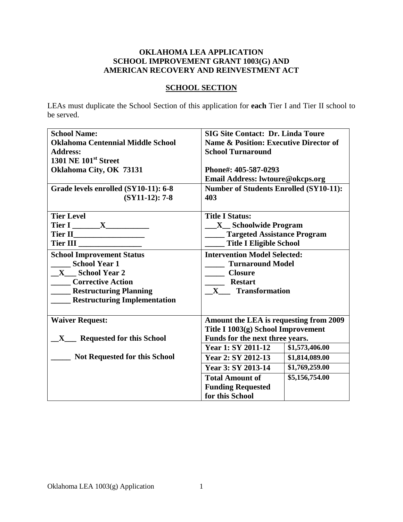## **OKLAHOMA LEA APPLICATION SCHOOL IMPROVEMENT GRANT 1003(G) AND AMERICAN RECOVERY AND REINVESTMENT ACT**

# **SCHOOL SECTION**

LEAs must duplicate the School Section of this application for **each** Tier I and Tier II school to be served.

| <b>School Name:</b>                              | <b>SIG Site Contact: Dr. Linda Toure</b>          |  |
|--------------------------------------------------|---------------------------------------------------|--|
| <b>Oklahoma Centennial Middle School</b>         | <b>Name &amp; Position: Executive Director of</b> |  |
| <b>Address:</b>                                  | <b>School Turnaround</b>                          |  |
| <b>1301 NE 101st Street</b>                      |                                                   |  |
| Oklahoma City, OK 73131                          | Phone#: 405-587-0293                              |  |
|                                                  | Email Address: lwtoure@okcps.org                  |  |
| Grade levels enrolled (SY10-11): 6-8             | <b>Number of Students Enrolled (SY10-11):</b>     |  |
| $(SY11-12): 7-8$                                 | 403                                               |  |
|                                                  |                                                   |  |
| <b>Tier Level</b>                                | <b>Title I Status:</b>                            |  |
| Tier I ________ X_____________                   | <b>X</b> Schoolwide Program                       |  |
|                                                  | ____ Targeted Assistance Program                  |  |
|                                                  | <b>Title I Eligible School</b>                    |  |
| <b>School Improvement Status</b>                 | <b>Intervention Model Selected:</b>               |  |
| <b>School Year 1</b>                             | <b>Turnaround Model</b>                           |  |
| X School Year 2                                  | <b>Closure</b>                                    |  |
| <b>Corrective Action</b>                         | <b>Restart</b>                                    |  |
| <b>Restructuring Planning</b>                    | X Transformation                                  |  |
| <b>Restructuring Implementation</b>              |                                                   |  |
|                                                  |                                                   |  |
| <b>Waiver Request:</b>                           | Amount the LEA is requesting from 2009            |  |
|                                                  | Title I 1003(g) School Improvement                |  |
| <b>Requested for this School</b><br>$\mathbf{X}$ | Funds for the next three years.                   |  |
|                                                  | \$1,573,406.00<br><b>Year 1: SY 2011-12</b>       |  |
| <b>Not Requested for this School</b>             | Year 2: SY 2012-13<br>\$1,814,089.00              |  |
|                                                  | Year 3: SY 2013-14<br>\$1,769,259.00              |  |
|                                                  | \$5,156,754.00<br><b>Total Amount of</b>          |  |
|                                                  | <b>Funding Requested</b>                          |  |
|                                                  | for this School                                   |  |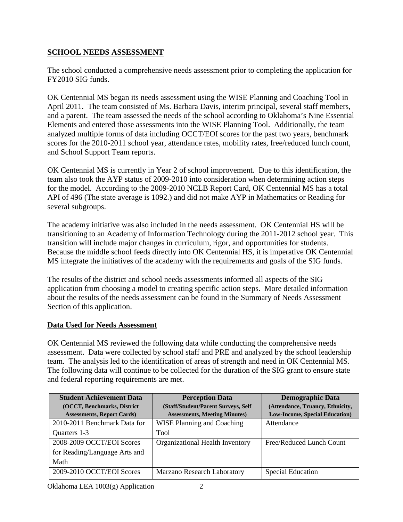# **SCHOOL NEEDS ASSESSMENT**

The school conducted a comprehensive needs assessment prior to completing the application for FY2010 SIG funds.

OK Centennial MS began its needs assessment using the WISE Planning and Coaching Tool in April 2011. The team consisted of Ms. Barbara Davis, interim principal, several staff members, and a parent. The team assessed the needs of the school according to Oklahoma's Nine Essential Elements and entered those assessments into the WISE Planning Tool. Additionally, the team analyzed multiple forms of data including OCCT/EOI scores for the past two years, benchmark scores for the 2010-2011 school year, attendance rates, mobility rates, free/reduced lunch count, and School Support Team reports.

OK Centennial MS is currently in Year 2 of school improvement. Due to this identification, the team also took the AYP status of 2009-2010 into consideration when determining action steps for the model. According to the 2009-2010 NCLB Report Card, OK Centennial MS has a total API of 496 (The state average is 1092.) and did not make AYP in Mathematics or Reading for several subgroups.

The academy initiative was also included in the needs assessment. OK Centennial HS will be transitioning to an Academy of Information Technology during the 2011-2012 school year. This transition will include major changes in curriculum, rigor, and opportunities for students. Because the middle school feeds directly into OK Centennial HS, it is imperative OK Centennial MS integrate the initiatives of the academy with the requirements and goals of the SIG funds.

The results of the district and school needs assessments informed all aspects of the SIG application from choosing a model to creating specific action steps. More detailed information about the results of the needs assessment can be found in the Summary of Needs Assessment Section of this application.

# **Data Used for Needs Assessment**

OK Centennial MS reviewed the following data while conducting the comprehensive needs assessment. Data were collected by school staff and PRE and analyzed by the school leadership team. The analysis led to the identification of areas of strength and need in OK Centennial MS. The following data will continue to be collected for the duration of the SIG grant to ensure state and federal reporting requirements are met.

| <b>Student Achievement Data</b><br>(OCCT, Benchmarks, District<br><b>Assessments, Report Cards)</b> | <b>Perception Data</b><br>(Staff/Student/Parent Surveys, Self<br><b>Assessments, Meeting Minutes)</b> | <b>Demographic Data</b><br>(Attendance, Truancy, Ethnicity,<br><b>Low-Income, Special Education</b> ) |
|-----------------------------------------------------------------------------------------------------|-------------------------------------------------------------------------------------------------------|-------------------------------------------------------------------------------------------------------|
| 2010-2011 Benchmark Data for                                                                        | <b>WISE Planning and Coaching</b>                                                                     | Attendance                                                                                            |
| Quarters 1-3                                                                                        | <b>Tool</b>                                                                                           |                                                                                                       |
| 2008-2009 OCCT/EOI Scores                                                                           | Organizational Health Inventory                                                                       | Free/Reduced Lunch Count                                                                              |
| for Reading/Language Arts and                                                                       |                                                                                                       |                                                                                                       |
| Math                                                                                                |                                                                                                       |                                                                                                       |
| 2009-2010 OCCT/EOI Scores                                                                           | Marzano Research Laboratory                                                                           | <b>Special Education</b>                                                                              |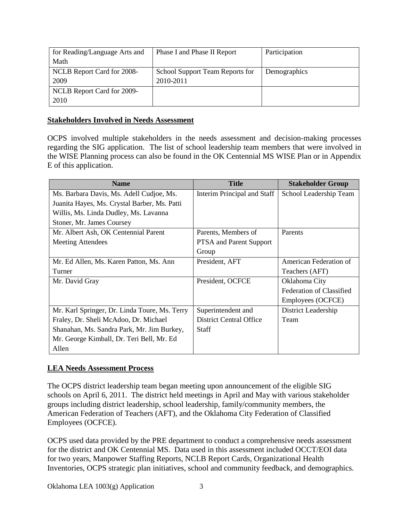| for Reading/Language Arts and | Phase I and Phase II Report     | Participation |
|-------------------------------|---------------------------------|---------------|
| Math                          |                                 |               |
| NCLB Report Card for 2008-    | School Support Team Reports for | Demographics  |
| 2009                          | 2010-2011                       |               |
| NCLB Report Card for 2009-    |                                 |               |
| 2010                          |                                 |               |

#### **Stakeholders Involved in Needs Assessment**

OCPS involved multiple stakeholders in the needs assessment and decision-making processes regarding the SIG application. The list of school leadership team members that were involved in the WISE Planning process can also be found in the OK Centennial MS WISE Plan or in Appendix E of this application.

| <b>Name</b>                                   | <b>Title</b>                   | <b>Stakeholder Group</b>        |
|-----------------------------------------------|--------------------------------|---------------------------------|
| Ms. Barbara Davis, Ms. Adell Cudjoe, Ms.      | Interim Principal and Staff    | School Leadership Team          |
| Juanita Hayes, Ms. Crystal Barber, Ms. Patti  |                                |                                 |
| Willis, Ms. Linda Dudley, Ms. Lavanna         |                                |                                 |
| Stoner, Mr. James Coursey                     |                                |                                 |
| Mr. Albert Ash, OK Centennial Parent          | Parents, Members of            | Parents                         |
| <b>Meeting Attendees</b>                      | <b>PTSA</b> and Parent Support |                                 |
|                                               | Group                          |                                 |
| Mr. Ed Allen, Ms. Karen Patton, Ms. Ann       | President, AFT                 | American Federation of          |
| Turner                                        |                                | Teachers (AFT)                  |
| Mr. David Gray                                | President, OCFCE               | Oklahoma City                   |
|                                               |                                | <b>Federation of Classified</b> |
|                                               |                                | Employees (OCFCE)               |
| Mr. Karl Springer, Dr. Linda Toure, Ms. Terry | Superintendent and             | District Leadership             |
| Fraley, Dr. Sheli McAdoo, Dr. Michael         | <b>District Central Office</b> | Team                            |
| Shanahan, Ms. Sandra Park, Mr. Jim Burkey,    | Staff                          |                                 |
| Mr. George Kimball, Dr. Teri Bell, Mr. Ed     |                                |                                 |
| Allen                                         |                                |                                 |

## **LEA Needs Assessment Process**

The OCPS district leadership team began meeting upon announcement of the eligible SIG schools on April 6, 2011. The district held meetings in April and May with various stakeholder groups including district leadership, school leadership, family/community members, the American Federation of Teachers (AFT), and the Oklahoma City Federation of Classified Employees (OCFCE).

OCPS used data provided by the PRE department to conduct a comprehensive needs assessment for the district and OK Centennial MS. Data used in this assessment included OCCT/EOI data for two years, Manpower Staffing Reports, NCLB Report Cards, Organizational Health Inventories, OCPS strategic plan initiatives, school and community feedback, and demographics.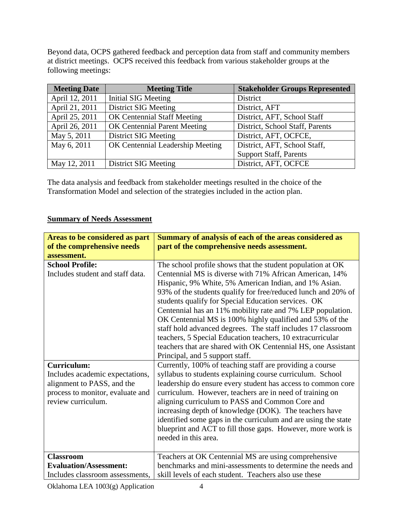Beyond data, OCPS gathered feedback and perception data from staff and community members at district meetings. OCPS received this feedback from various stakeholder groups at the following meetings:

| <b>Meeting Date</b> | <b>Meeting Title</b>                | <b>Stakeholder Groups Represented</b> |
|---------------------|-------------------------------------|---------------------------------------|
| April 12, 2011      | Initial SIG Meeting                 | <b>District</b>                       |
| April 21, 2011      | <b>District SIG Meeting</b>         | District, AFT                         |
| April 25, 2011      | <b>OK Centennial Staff Meeting</b>  | District, AFT, School Staff           |
| April 26, 2011      | <b>OK Centennial Parent Meeting</b> | District, School Staff, Parents       |
| May 5, 2011         | <b>District SIG Meeting</b>         | District, AFT, OCFCE,                 |
| May 6, 2011         | OK Centennial Leadership Meeting    | District, AFT, School Staff,          |
|                     |                                     | <b>Support Staff, Parents</b>         |
| May 12, 2011        | <b>District SIG Meeting</b>         | District, AFT, OCFCE                  |

The data analysis and feedback from stakeholder meetings resulted in the choice of the Transformation Model and selection of the strategies included in the action plan.

# **Summary of Needs Assessment**

| Areas to be considered as part<br>of the comprehensive needs<br>assessment. | Summary of analysis of each of the areas considered as<br>part of the comprehensive needs assessment. |
|-----------------------------------------------------------------------------|-------------------------------------------------------------------------------------------------------|
| <b>School Profile:</b>                                                      | The school profile shows that the student population at OK                                            |
| Includes student and staff data.                                            | Centennial MS is diverse with 71% African American, 14%                                               |
|                                                                             |                                                                                                       |
|                                                                             | Hispanic, 9% White, 5% American Indian, and 1% Asian.                                                 |
|                                                                             | 93% of the students qualify for free/reduced lunch and 20% of                                         |
|                                                                             | students qualify for Special Education services. OK                                                   |
|                                                                             | Centennial has an 11% mobility rate and 7% LEP population.                                            |
|                                                                             | OK Centennial MS is 100% highly qualified and 53% of the                                              |
|                                                                             | staff hold advanced degrees. The staff includes 17 classroom                                          |
|                                                                             | teachers, 5 Special Education teachers, 10 extracurricular                                            |
|                                                                             | teachers that are shared with OK Centennial HS, one Assistant                                         |
|                                                                             | Principal, and 5 support staff.                                                                       |
| <b>Curriculum:</b>                                                          | Currently, 100% of teaching staff are providing a course                                              |
| Includes academic expectations,                                             | syllabus to students explaining course curriculum. School                                             |
| alignment to PASS, and the                                                  | leadership do ensure every student has access to common core                                          |
| process to monitor, evaluate and                                            | curriculum. However, teachers are in need of training on                                              |
| review curriculum.                                                          | aligning curriculum to PASS and Common Core and                                                       |
|                                                                             | increasing depth of knowledge (DOK). The teachers have                                                |
|                                                                             | identified some gaps in the curriculum and are using the state                                        |
|                                                                             | blueprint and ACT to fill those gaps. However, more work is                                           |
|                                                                             | needed in this area.                                                                                  |
|                                                                             |                                                                                                       |
| <b>Classroom</b>                                                            | Teachers at OK Centennial MS are using comprehensive                                                  |
| <b>Evaluation/Assessment:</b>                                               | benchmarks and mini-assessments to determine the needs and                                            |
| Includes classroom assessments,                                             | skill levels of each student. Teachers also use these                                                 |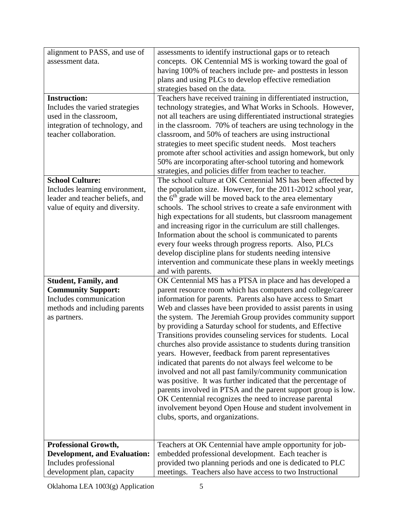| alignment to PASS, and use of       | assessments to identify instructional gaps or to reteach            |
|-------------------------------------|---------------------------------------------------------------------|
| assessment data.                    | concepts. OK Centennial MS is working toward the goal of            |
|                                     | having 100% of teachers include pre- and posttests in lesson        |
|                                     | plans and using PLCs to develop effective remediation               |
|                                     | strategies based on the data.                                       |
| <b>Instruction:</b>                 | Teachers have received training in differentiated instruction,      |
| Includes the varied strategies      | technology strategies, and What Works in Schools. However,          |
| used in the classroom,              | not all teachers are using differentiated instructional strategies  |
| integration of technology, and      | in the classroom. 70% of teachers are using technology in the       |
| teacher collaboration.              | classroom, and 50% of teachers are using instructional              |
|                                     | strategies to meet specific student needs. Most teachers            |
|                                     | promote after school activities and assign homework, but only       |
|                                     | 50% are incorporating after-school tutoring and homework            |
|                                     | strategies, and policies differ from teacher to teacher.            |
| <b>School Culture:</b>              | The school culture at OK Centennial MS has been affected by         |
| Includes learning environment,      | the population size. However, for the 2011-2012 school year,        |
| leader and teacher beliefs, and     | the 6 <sup>th</sup> grade will be moved back to the area elementary |
| value of equity and diversity.      | schools. The school strives to create a safe environment with       |
|                                     | high expectations for all students, but classroom management        |
|                                     | and increasing rigor in the curriculum are still challenges.        |
|                                     | Information about the school is communicated to parents             |
|                                     | every four weeks through progress reports. Also, PLCs               |
|                                     | develop discipline plans for students needing intensive             |
|                                     | intervention and communicate these plans in weekly meetings         |
|                                     | and with parents.                                                   |
| <b>Student, Family, and</b>         | OK Centennial MS has a PTSA in place and has developed a            |
| <b>Community Support:</b>           | parent resource room which has computers and college/career         |
| Includes communication              | information for parents. Parents also have access to Smart          |
| methods and including parents       | Web and classes have been provided to assist parents in using       |
| as partners.                        | the system. The Jeremiah Group provides community support           |
|                                     | by providing a Saturday school for students, and Effective          |
|                                     | Transitions provides counseling services for students. Local        |
|                                     | churches also provide assistance to students during transition      |
|                                     | years. However, feedback from parent representatives                |
|                                     | indicated that parents do not always feel welcome to be             |
|                                     | involved and not all past family/community communication            |
|                                     | was positive. It was further indicated that the percentage of       |
|                                     | parents involved in PTSA and the parent support group is low.       |
|                                     | OK Centennial recognizes the need to increase parental              |
|                                     | involvement beyond Open House and student involvement in            |
|                                     | clubs, sports, and organizations.                                   |
|                                     |                                                                     |
|                                     |                                                                     |
| <b>Professional Growth,</b>         | Teachers at OK Centennial have ample opportunity for job-           |
| <b>Development, and Evaluation:</b> | embedded professional development. Each teacher is                  |
| Includes professional               | provided two planning periods and one is dedicated to PLC           |
| development plan, capacity          | meetings. Teachers also have access to two Instructional            |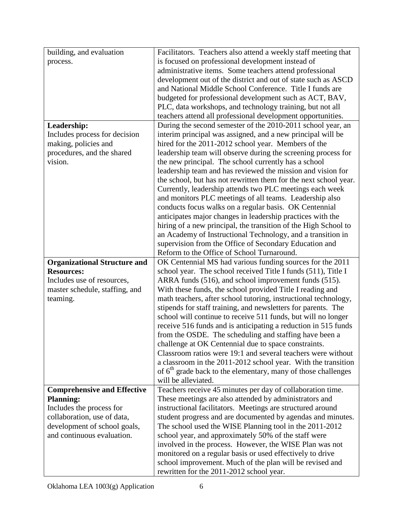| building, and evaluation                                    | Facilitators. Teachers also attend a weekly staff meeting that                                                         |
|-------------------------------------------------------------|------------------------------------------------------------------------------------------------------------------------|
| process.                                                    | is focused on professional development instead of                                                                      |
|                                                             | administrative items. Some teachers attend professional                                                                |
|                                                             | development out of the district and out of state such as ASCD                                                          |
|                                                             | and National Middle School Conference. Title I funds are                                                               |
|                                                             | budgeted for professional development such as ACT, BAV,                                                                |
|                                                             | PLC, data workshops, and technology training, but not all                                                              |
|                                                             | teachers attend all professional development opportunities.                                                            |
| Leadership:                                                 | During the second semester of the 2010-2011 school year, an                                                            |
| Includes process for decision                               | interim principal was assigned, and a new principal will be                                                            |
| making, policies and                                        | hired for the 2011-2012 school year. Members of the                                                                    |
| procedures, and the shared                                  | leadership team will observe during the screening process for                                                          |
| vision.                                                     | the new principal. The school currently has a school                                                                   |
|                                                             | leadership team and has reviewed the mission and vision for                                                            |
|                                                             | the school, but has not rewritten them for the next school year.                                                       |
|                                                             | Currently, leadership attends two PLC meetings each week                                                               |
|                                                             | and monitors PLC meetings of all teams. Leadership also                                                                |
|                                                             | conducts focus walks on a regular basis. OK Centennial                                                                 |
|                                                             | anticipates major changes in leadership practices with the                                                             |
|                                                             | hiring of a new principal, the transition of the High School to                                                        |
|                                                             | an Academy of Instructional Technology, and a transition in                                                            |
|                                                             | supervision from the Office of Secondary Education and                                                                 |
|                                                             | Reform to the Office of School Turnaround.                                                                             |
| <b>Organizational Structure and</b>                         | OK Centennial MS had various funding sources for the 2011                                                              |
| <b>Resources:</b>                                           | school year. The school received Title I funds (511), Title I                                                          |
| Includes use of resources,                                  | ARRA funds (516), and school improvement funds (515).                                                                  |
| master schedule, staffing, and                              | With these funds, the school provided Title I reading and                                                              |
| teaming.                                                    | math teachers, after school tutoring, instructional technology,                                                        |
|                                                             | stipends for staff training, and newsletters for parents. The                                                          |
|                                                             | school will continue to receive 511 funds, but will no longer                                                          |
|                                                             | receive 516 funds and is anticipating a reduction in 515 funds                                                         |
|                                                             | from the OSDE. The scheduling and staffing have been a                                                                 |
|                                                             | challenge at OK Centennial due to space constraints.                                                                   |
|                                                             | Classroom ratios were 19:1 and several teachers were without                                                           |
|                                                             | a classroom in the 2011-2012 school year. With the transition                                                          |
|                                                             | of 6 <sup>th</sup> grade back to the elementary, many of those challenges                                              |
|                                                             | will be alleviated.                                                                                                    |
| <b>Comprehensive and Effective</b>                          | Teachers receive 45 minutes per day of collaboration time.                                                             |
| <b>Planning:</b>                                            | These meetings are also attended by administrators and                                                                 |
| Includes the process for                                    | instructional facilitators. Meetings are structured around                                                             |
| collaboration, use of data,<br>development of school goals, | student progress and are documented by agendas and minutes.<br>The school used the WISE Planning tool in the 2011-2012 |
| and continuous evaluation.                                  |                                                                                                                        |
|                                                             | school year, and approximately 50% of the staff were<br>involved in the process. However, the WISE Plan was not        |
|                                                             | monitored on a regular basis or used effectively to drive                                                              |
|                                                             |                                                                                                                        |
|                                                             |                                                                                                                        |
|                                                             | school improvement. Much of the plan will be revised and<br>rewritten for the 2011-2012 school year.                   |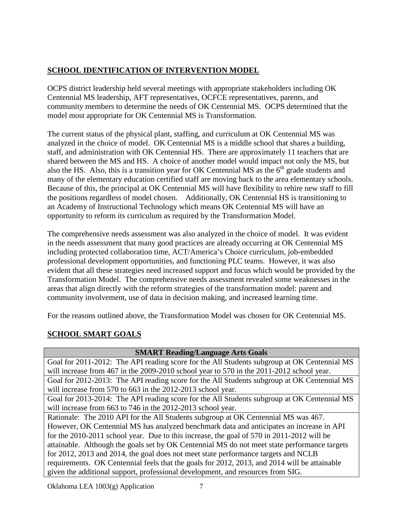# **SCHOOL IDENTIFICATION OF INTERVENTION MODEL**

OCPS district leadership held several meetings with appropriate stakeholders including OK Centennial MS leadership, AFT representatives, OCFCE representatives, parents, and community members to determine the needs of OK Centennial MS. OCPS determined that the model most appropriate for OK Centennial MS is Transformation.

The current status of the physical plant, staffing, and curriculum at OK Centennial MS was analyzed in the choice of model. OK Centennial MS is a middle school that shares a building, staff, and administration with OK Centennial HS. There are approximately 11 teachers that are shared between the MS and HS. A choice of another model would impact not only the MS, but also the HS. Also, this is a transition year for OK Centennial MS as the  $6<sup>th</sup>$  grade students and many of the elementary education certified staff are moving back to the area elementary schools. Because of this, the principal at OK Centennial MS will have flexibility to rehire new staff to fill the positions regardless of model chosen. Additionally, OK Centennial HS is transitioning to an Academy of Instructional Technology which means OK Centennial MS will have an opportunity to reform its curriculum as required by the Transformation Model.

The comprehensive needs assessment was also analyzed in the choice of model. It was evident in the needs assessment that many good practices are already occurring at OK Centennial MS including protected collaboration time, ACT/America's Choice curriculum, job-embedded professional development opportunities, and functioning PLC teams. However, it was also evident that all these strategies need increased support and focus which would be provided by the Transformation Model. The comprehensive needs assessment revealed some weaknesses in the areas that align directly with the reform strategies of the transformation model: parent and community involvement, use of data in decision making, and increased learning time.

For the reasons outlined above, the Transformation Model was chosen for OK Centennial MS.

# **SCHOOL SMART GOALS**

| <b>SMART Reading/Language Arts Goals</b>                                                     |  |  |
|----------------------------------------------------------------------------------------------|--|--|
| Goal for 2011-2012: The API reading score for the All Students subgroup at OK Centennial MS  |  |  |
| will increase from 467 in the 2009-2010 school year to 570 in the 2011-2012 school year.     |  |  |
| Goal for 2012-2013: The API reading score for the All Students subgroup at OK Centennial MS  |  |  |
| will increase from 570 to 663 in the 2012-2013 school year.                                  |  |  |
| Goal for 2013-2014: The API reading score for the All Students subgroup at OK Centennial MS  |  |  |
| will increase from 663 to 746 in the 2012-2013 school year.                                  |  |  |
| Rationale: The 2010 API for the All Students subgroup at OK Centennial MS was 467.           |  |  |
| However, OK Centennial MS has analyzed benchmark data and anticipates an increase in API     |  |  |
| for the 2010-2011 school year. Due to this increase, the goal of 570 in 2011-2012 will be    |  |  |
| attainable. Although the goals set by OK Centennial MS do not meet state performance targets |  |  |
| for 2012, 2013 and 2014, the goal does not meet state performance targets and NCLB           |  |  |
| requirements. OK Centennial feels that the goals for 2012, 2013, and 2014 will be attainable |  |  |
| given the additional support, professional development, and resources from SIG.              |  |  |
|                                                                                              |  |  |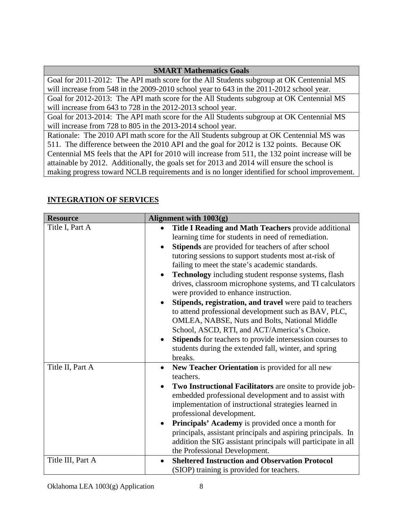## **SMART Mathematics Goals**

Goal for 2011-2012: The API math score for the All Students subgroup at OK Centennial MS will increase from 548 in the 2009-2010 school year to 643 in the 2011-2012 school year.

Goal for 2012-2013: The API math score for the All Students subgroup at OK Centennial MS will increase from 643 to 728 in the 2012-2013 school year.

Goal for 2013-2014: The API math score for the All Students subgroup at OK Centennial MS will increase from 728 to 805 in the 2013-2014 school year.

Rationale: The 2010 API math score for the All Students subgroup at OK Centennial MS was 511. The difference between the 2010 API and the goal for 2012 is 132 points. Because OK Centennial MS feels that the API for 2010 will increase from 511, the 132 point increase will be attainable by 2012. Additionally, the goals set for 2013 and 2014 will ensure the school is making progress toward NCLB requirements and is no longer identified for school improvement.

**INTEGRATION OF SERVICES**

| <b>Resource</b>   | Alignment with $1003(g)$                                                                                                                                                                                                                                                                                                                                                                                                                                                                                                                                                                                                                                                                                                                                                                       |
|-------------------|------------------------------------------------------------------------------------------------------------------------------------------------------------------------------------------------------------------------------------------------------------------------------------------------------------------------------------------------------------------------------------------------------------------------------------------------------------------------------------------------------------------------------------------------------------------------------------------------------------------------------------------------------------------------------------------------------------------------------------------------------------------------------------------------|
| Title I, Part A   | Title I Reading and Math Teachers provide additional<br>learning time for students in need of remediation.<br>Stipends are provided for teachers of after school<br>tutoring sessions to support students most at-risk of<br>failing to meet the state's academic standards.<br>Technology including student response systems, flash<br>drives, classroom microphone systems, and TI calculators<br>were provided to enhance instruction.<br>Stipends, registration, and travel were paid to teachers<br>to attend professional development such as BAV, PLC,<br>OMLEA, NABSE, Nuts and Bolts, National Middle<br>School, ASCD, RTI, and ACT/America's Choice.<br>Stipends for teachers to provide intersession courses to<br>students during the extended fall, winter, and spring<br>breaks. |
| Title II, Part A  | New Teacher Orientation is provided for all new<br>$\bullet$<br>teachers.<br>Two Instructional Facilitators are onsite to provide job-<br>embedded professional development and to assist with<br>implementation of instructional strategies learned in<br>professional development.<br>Principals' Academy is provided once a month for<br>principals, assistant principals and aspiring principals. In<br>addition the SIG assistant principals will participate in all<br>the Professional Development.                                                                                                                                                                                                                                                                                     |
| Title III, Part A | <b>Sheltered Instruction and Observation Protocol</b><br>(SIOP) training is provided for teachers.                                                                                                                                                                                                                                                                                                                                                                                                                                                                                                                                                                                                                                                                                             |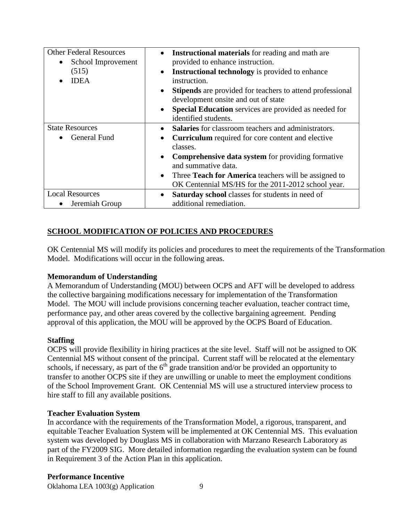| <b>Other Federal Resources</b><br>School Improvement<br>$\bullet$<br>(515)<br><b>IDEA</b> | <b>Instructional materials</b> for reading and math are<br>$\bullet$<br>provided to enhance instruction.<br><b>Instructional technology</b> is provided to enhance<br>$\bullet$<br>instruction.<br><b>Stipends</b> are provided for teachers to attend professional<br>$\bullet$<br>development onsite and out of state<br>Special Education services are provided as needed for<br>identified students. |
|-------------------------------------------------------------------------------------------|----------------------------------------------------------------------------------------------------------------------------------------------------------------------------------------------------------------------------------------------------------------------------------------------------------------------------------------------------------------------------------------------------------|
| <b>State Resources</b><br><b>General Fund</b>                                             | <b>Salaries</b> for classroom teachers and administrators.<br><b>Curriculum</b> required for core content and elective<br>$\bullet$<br>classes.<br><b>Comprehensive data system</b> for providing formative<br>$\bullet$<br>and summative data.<br>Three Teach for America teachers will be assigned to<br>$\bullet$<br>OK Centennial MS/HS for the 2011-2012 school year.                               |
| <b>Local Resources</b><br>Jeremiah Group                                                  | Saturday school classes for students in need of<br>$\bullet$<br>additional remediation.                                                                                                                                                                                                                                                                                                                  |

# **SCHOOL MODIFICATION OF POLICIES AND PROCEDURES**

OK Centennial MS will modify its policies and procedures to meet the requirements of the Transformation Model. Modifications will occur in the following areas.

## **Memorandum of Understanding**

A Memorandum of Understanding (MOU) between OCPS and AFT will be developed to address the collective bargaining modifications necessary for implementation of the Transformation Model. The MOU will include provisions concerning teacher evaluation, teacher contract time, performance pay, and other areas covered by the collective bargaining agreement. Pending approval of this application, the MOU will be approved by the OCPS Board of Education.

#### **Staffing**

OCPS will provide flexibility in hiring practices at the site level. Staff will not be assigned to OK Centennial MS without consent of the principal. Current staff will be relocated at the elementary schools, if necessary, as part of the  $6<sup>th</sup>$  grade transition and/or be provided an opportunity to transfer to another OCPS site if they are unwilling or unable to meet the employment conditions of the School Improvement Grant. OK Centennial MS will use a structured interview process to hire staff to fill any available positions.

#### **Teacher Evaluation System**

In accordance with the requirements of the Transformation Model, a rigorous, transparent, and equitable Teacher Evaluation System will be implemented at OK Centennial MS. This evaluation system was developed by Douglass MS in collaboration with Marzano Research Laboratory as part of the FY2009 SIG. More detailed information regarding the evaluation system can be found in Requirement 3 of the Action Plan in this application.

#### **Performance Incentive**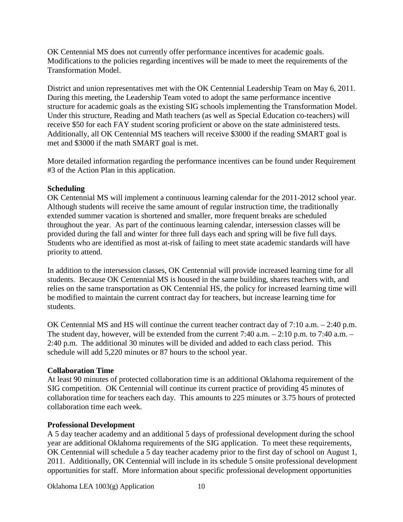OK Centennial MS does not currently offer performance incentives for academic goals. Modifications to the policies regarding incentives will be made to meet the requirements of the Transformation Model.

District and union representatives met with the OK Centennial Leadership Team on May 6, 2011. During this meeting, the Leadership Team voted to adopt the same performance incentive structure for academic goals as the existing SIG schools implementing the Transformation Model. Under this structure, Reading and Math teachers (as well as Special Education co-teachers) will receive \$50 for each FAY student scoring proficient or above on the state administered tests. Additionally, all OK Centennial MS teachers will receive \$3000 if the reading SMART goal is met and \$3000 if the math SMART goal is met.

More detailed information regarding the performance incentives can be found under Requirement #3 of the Action Plan in this application.

## **Scheduling**

OK Centennial MS will implement a continuous learning calendar for the 2011-2012 school year. Although students will receive the same amount of regular instruction time, the traditionally extended summer vacation is shortened and smaller, more frequent breaks are scheduled throughout the year. As part of the continuous learning calendar, intersession classes will be provided during the fall and winter for three full days each and spring will be five full days. Students who are identified as most at-risk of failing to meet state academic standards will have priority to attend.

In addition to the intersession classes, OK Centennial will provide increased learning time for all students. Because OK Centennial MS is housed in the same building, shares teachers with, and relies on the same transportation as OK Centennial HS, the policy for increased learning time will be modified to maintain the current contract day for teachers, but increase learning time for students.

OK Centennial MS and HS will continue the current teacher contract day of 7:10 a.m. – 2:40 p.m. The student day, however, will be extended from the current 7:40 a.m. – 2:10 p.m. to 7:40 a.m. – 2:40 p.m. The additional 30 minutes will be divided and added to each class period. This schedule will add 5,220 minutes or 87 hours to the school year.

# **Collaboration Time**

At least 90 minutes of protected collaboration time is an additional Oklahoma requirement of the SIG competition. OK Centennial will continue its current practice of providing 45 minutes of collaboration time for teachers each day. This amounts to 225 minutes or 3.75 hours of protected collaboration time each week.

# **Professional Development**

A 5 day teacher academy and an additional 5 days of professional development during the school year are additional Oklahoma requirements of the SIG application. To meet these requirements, OK Centennial will schedule a 5 day teacher academy prior to the first day of school on August 1, 2011. Additionally, OK Centennial will include in its schedule 5 onsite professional development opportunities for staff. More information about specific professional development opportunities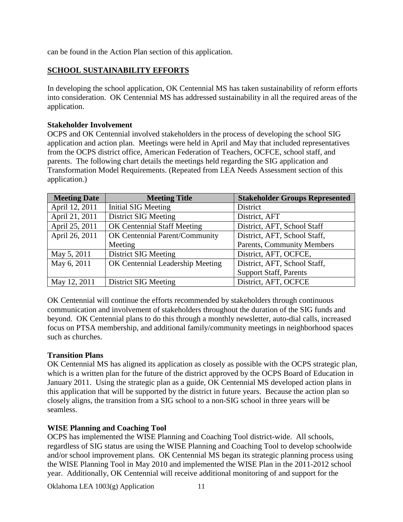can be found in the Action Plan section of this application.

# **SCHOOL SUSTAINABILITY EFFORTS**

In developing the school application, OK Centennial MS has taken sustainability of reform efforts into consideration. OK Centennial MS has addressed sustainability in all the required areas of the application.

#### **Stakeholder Involvement**

OCPS and OK Centennial involved stakeholders in the process of developing the school SIG application and action plan. Meetings were held in April and May that included representatives from the OCPS district office, American Federation of Teachers, OCFCE, school staff, and parents. The following chart details the meetings held regarding the SIG application and Transformation Model Requirements. (Repeated from LEA Needs Assessment section of this application.)

| <b>Meeting Date</b> | <b>Meeting Title</b>               | <b>Stakeholder Groups Represented</b> |
|---------------------|------------------------------------|---------------------------------------|
| April 12, 2011      | Initial SIG Meeting                | District                              |
| April 21, 2011      | <b>District SIG Meeting</b>        | District, AFT                         |
| April 25, 2011      | <b>OK Centennial Staff Meeting</b> | District, AFT, School Staff           |
| April 26, 2011      | OK Centennial Parent/Community     | District, AFT, School Staff,          |
|                     | Meeting                            | <b>Parents, Community Members</b>     |
| May 5, 2011         | <b>District SIG Meeting</b>        | District, AFT, OCFCE,                 |
| May 6, 2011         | OK Centennial Leadership Meeting   | District, AFT, School Staff,          |
|                     |                                    | <b>Support Staff, Parents</b>         |
| May 12, 2011        | District SIG Meeting               | District, AFT, OCFCE                  |

OK Centennial will continue the efforts recommended by stakeholders through continuous communication and involvement of stakeholders throughout the duration of the SIG funds and beyond. OK Centennial plans to do this through a monthly newsletter, auto-dial calls, increased focus on PTSA membership, and additional family/community meetings in neighborhood spaces such as churches.

## **Transition Plans**

OK Centennial MS has aligned its application as closely as possible with the OCPS strategic plan, which is a written plan for the future of the district approved by the OCPS Board of Education in January 2011. Using the strategic plan as a guide, OK Centennial MS developed action plans in this application that will be supported by the district in future years. Because the action plan so closely aligns, the transition from a SIG school to a non-SIG school in three years will be seamless.

## **WISE Planning and Coaching Tool**

OCPS has implemented the WISE Planning and Coaching Tool district-wide. All schools, regardless of SIG status are using the WISE Planning and Coaching Tool to develop schoolwide and/or school improvement plans. OK Centennial MS began its strategic planning process using the WISE Planning Tool in May 2010 and implemented the WISE Plan in the 2011-2012 school year. Additionally, OK Centennial will receive additional monitoring of and support for the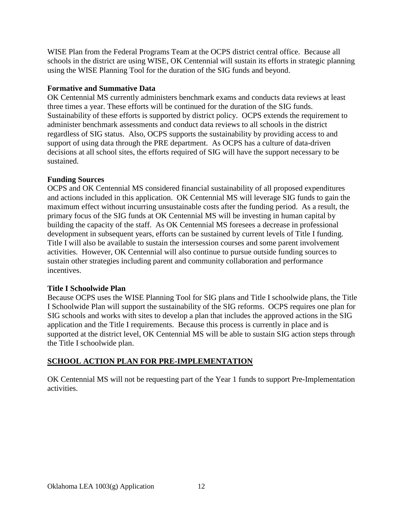WISE Plan from the Federal Programs Team at the OCPS district central office. Because all schools in the district are using WISE, OK Centennial will sustain its efforts in strategic planning using the WISE Planning Tool for the duration of the SIG funds and beyond.

## **Formative and Summative Data**

OK Centennial MS currently administers benchmark exams and conducts data reviews at least three times a year. These efforts will be continued for the duration of the SIG funds. Sustainability of these efforts is supported by district policy. OCPS extends the requirement to administer benchmark assessments and conduct data reviews to all schools in the district regardless of SIG status. Also, OCPS supports the sustainability by providing access to and support of using data through the PRE department. As OCPS has a culture of data-driven decisions at all school sites, the efforts required of SIG will have the support necessary to be sustained.

# **Funding Sources**

OCPS and OK Centennial MS considered financial sustainability of all proposed expenditures and actions included in this application. OK Centennial MS will leverage SIG funds to gain the maximum effect without incurring unsustainable costs after the funding period. As a result, the primary focus of the SIG funds at OK Centennial MS will be investing in human capital by building the capacity of the staff. As OK Centennial MS foresees a decrease in professional development in subsequent years, efforts can be sustained by current levels of Title I funding. Title I will also be available to sustain the intersession courses and some parent involvement activities. However, OK Centennial will also continue to pursue outside funding sources to sustain other strategies including parent and community collaboration and performance incentives.

## **Title I Schoolwide Plan**

Because OCPS uses the WISE Planning Tool for SIG plans and Title I schoolwide plans, the Title I Schoolwide Plan will support the sustainability of the SIG reforms. OCPS requires one plan for SIG schools and works with sites to develop a plan that includes the approved actions in the SIG application and the Title I requirements. Because this process is currently in place and is supported at the district level, OK Centennial MS will be able to sustain SIG action steps through the Title I schoolwide plan.

# **SCHOOL ACTION PLAN FOR PRE-IMPLEMENTATION**

OK Centennial MS will not be requesting part of the Year 1 funds to support Pre-Implementation activities.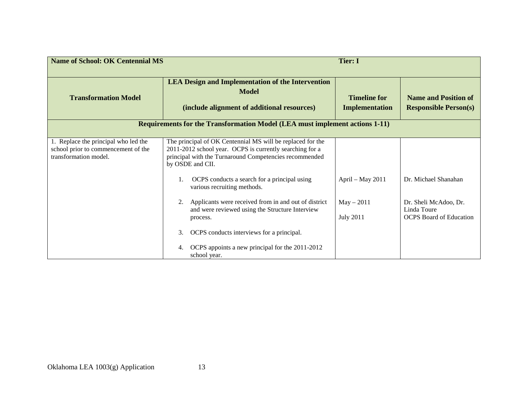| <b>Name of School: OK Centennial MS</b>                                                              |                                                                                                                                                                                                      | <b>Tier: I</b>                               |                                                                        |
|------------------------------------------------------------------------------------------------------|------------------------------------------------------------------------------------------------------------------------------------------------------------------------------------------------------|----------------------------------------------|------------------------------------------------------------------------|
| <b>Transformation Model</b>                                                                          | <b>LEA Design and Implementation of the Intervention</b><br>Model<br>(include alignment of additional resources)                                                                                     | <b>Timeline for</b><br><b>Implementation</b> | <b>Name and Position of</b><br><b>Responsible Person(s)</b>            |
|                                                                                                      | <b>Requirements for the Transformation Model (LEA must implement actions 1-11)</b>                                                                                                                   |                                              |                                                                        |
| 1. Replace the principal who led the<br>school prior to commencement of the<br>transformation model. | The principal of OK Centennial MS will be replaced for the<br>2011-2012 school year. OCPS is currently searching for a<br>principal with the Turnaround Competencies recommended<br>by OSDE and CII. |                                              |                                                                        |
|                                                                                                      | OCPS conducts a search for a principal using<br>various recruiting methods.                                                                                                                          | April - May 2011                             | Dr. Michael Shanahan                                                   |
|                                                                                                      | Applicants were received from in and out of district<br>and were reviewed using the Structure Interview<br>process.                                                                                  | $May - 2011$<br><b>July 2011</b>             | Dr. Sheli McAdoo, Dr.<br>Linda Toure<br><b>OCPS</b> Board of Education |
|                                                                                                      | OCPS conducts interviews for a principal.<br>3.<br>OCPS appoints a new principal for the 2011-2012<br>4.<br>school year.                                                                             |                                              |                                                                        |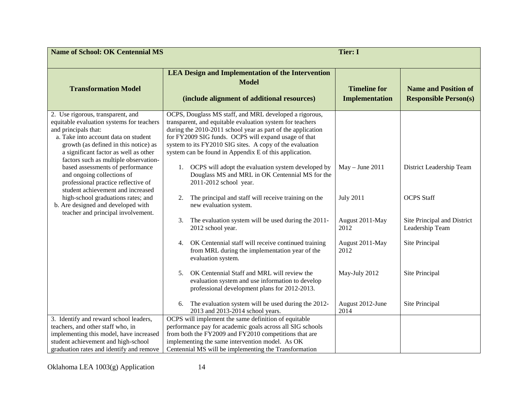| <b>Name of School: OK Centennial MS</b>                                                                                                                                                                                                                                   | <b>Tier: I</b>                                                                                                                                                                                                                                                                                                                                                   |                                              |                                                             |
|---------------------------------------------------------------------------------------------------------------------------------------------------------------------------------------------------------------------------------------------------------------------------|------------------------------------------------------------------------------------------------------------------------------------------------------------------------------------------------------------------------------------------------------------------------------------------------------------------------------------------------------------------|----------------------------------------------|-------------------------------------------------------------|
| <b>Transformation Model</b>                                                                                                                                                                                                                                               | <b>LEA Design and Implementation of the Intervention</b><br><b>Model</b><br>(include alignment of additional resources)                                                                                                                                                                                                                                          | <b>Timeline for</b><br><b>Implementation</b> | <b>Name and Position of</b><br><b>Responsible Person(s)</b> |
| 2. Use rigorous, transparent, and<br>equitable evaluation systems for teachers<br>and principals that:<br>a. Take into account data on student<br>growth (as defined in this notice) as<br>a significant factor as well as other<br>factors such as multiple observation- | OCPS, Douglass MS staff, and MRL developed a rigorous,<br>transparent, and equitable evaluation system for teachers<br>during the 2010-2011 school year as part of the application<br>for FY2009 SIG funds. OCPS will expand usage of that<br>system to its FY2010 SIG sites. A copy of the evaluation<br>system can be found in Appendix E of this application. |                                              |                                                             |
| based assessments of performance<br>and ongoing collections of<br>professional practice reflective of<br>student achievement and increased                                                                                                                                | OCPS will adopt the evaluation system developed by<br>1.<br>Douglass MS and MRL in OK Centennial MS for the<br>2011-2012 school year.                                                                                                                                                                                                                            | $May - June 2011$                            | District Leadership Team                                    |
| high-school graduations rates; and<br>b. Are designed and developed with<br>teacher and principal involvement.                                                                                                                                                            | The principal and staff will receive training on the<br>2.<br>new evaluation system.                                                                                                                                                                                                                                                                             | <b>July 2011</b>                             | <b>OCPS</b> Staff                                           |
|                                                                                                                                                                                                                                                                           | The evaluation system will be used during the 2011-<br>3.<br>2012 school year.                                                                                                                                                                                                                                                                                   | August 2011-May<br>2012                      | Site Principal and District<br>Leadership Team              |
|                                                                                                                                                                                                                                                                           | OK Centennial staff will receive continued training<br>4.<br>from MRL during the implementation year of the<br>evaluation system.                                                                                                                                                                                                                                | August 2011-May<br>2012                      | Site Principal                                              |
|                                                                                                                                                                                                                                                                           | OK Centennial Staff and MRL will review the<br>5.<br>evaluation system and use information to develop<br>professional development plans for 2012-2013.                                                                                                                                                                                                           | May-July 2012                                | Site Principal                                              |
|                                                                                                                                                                                                                                                                           | The evaluation system will be used during the 2012-<br>6.<br>2013 and 2013-2014 school years.                                                                                                                                                                                                                                                                    | August 2012-June<br>2014                     | Site Principal                                              |
| 3. Identify and reward school leaders,<br>teachers, and other staff who, in<br>implementing this model, have increased<br>student achievement and high-school<br>graduation rates and identify and remove                                                                 | OCPS will implement the same definition of equitable<br>performance pay for academic goals across all SIG schools<br>from both the FY2009 and FY2010 competitions that are<br>implementing the same intervention model. As OK<br>Centennial MS will be implementing the Transformation                                                                           |                                              |                                                             |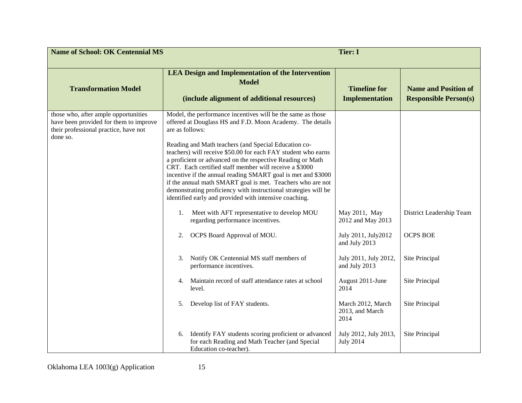| <b>Name of School: OK Centennial MS</b>                                                                                             | <b>Tier: I</b>                                                                                                                                                                                                                                                                                                                                                                                                                                                                                                                                                                                                                                                                                                                                                                                                                                                                                                                                                                                                                                                                                                              |                                                                                                                                                                                                                                                |                                                                                                                     |
|-------------------------------------------------------------------------------------------------------------------------------------|-----------------------------------------------------------------------------------------------------------------------------------------------------------------------------------------------------------------------------------------------------------------------------------------------------------------------------------------------------------------------------------------------------------------------------------------------------------------------------------------------------------------------------------------------------------------------------------------------------------------------------------------------------------------------------------------------------------------------------------------------------------------------------------------------------------------------------------------------------------------------------------------------------------------------------------------------------------------------------------------------------------------------------------------------------------------------------------------------------------------------------|------------------------------------------------------------------------------------------------------------------------------------------------------------------------------------------------------------------------------------------------|---------------------------------------------------------------------------------------------------------------------|
| <b>Transformation Model</b>                                                                                                         | <b>LEA Design and Implementation of the Intervention</b><br><b>Model</b><br>(include alignment of additional resources)                                                                                                                                                                                                                                                                                                                                                                                                                                                                                                                                                                                                                                                                                                                                                                                                                                                                                                                                                                                                     | <b>Timeline for</b><br><b>Implementation</b>                                                                                                                                                                                                   | <b>Name and Position of</b><br><b>Responsible Person(s)</b>                                                         |
| those who, after ample opportunities<br>have been provided for them to improve<br>their professional practice, have not<br>done so. | Model, the performance incentives will be the same as those<br>offered at Douglass HS and F.D. Moon Academy. The details<br>are as follows:<br>Reading and Math teachers (and Special Education co-<br>teachers) will receive \$50.00 for each FAY student who earns<br>a proficient or advanced on the respective Reading or Math<br>CRT. Each certified staff member will receive a \$3000<br>incentive if the annual reading SMART goal is met and \$3000<br>if the annual math SMART goal is met. Teachers who are not<br>demonstrating proficiency with instructional strategies will be<br>identified early and provided with intensive coaching.<br>Meet with AFT representative to develop MOU<br>1.<br>regarding performance incentives.<br>OCPS Board Approval of MOU.<br>2.<br>Notify OK Centennial MS staff members of<br>3.<br>performance incentives.<br>Maintain record of staff attendance rates at school<br>4.<br>level.<br>Develop list of FAY students.<br>5.<br>Identify FAY students scoring proficient or advanced<br>6.<br>for each Reading and Math Teacher (and Special<br>Education co-teacher). | May 2011, May<br>2012 and May 2013<br>July 2011, July 2012<br>and July 2013<br>July 2011, July 2012,<br>and July 2013<br>August 2011-June<br>2014<br>March 2012, March<br>2013, and March<br>2014<br>July 2012, July 2013,<br><b>July 2014</b> | District Leadership Team<br><b>OCPS BOE</b><br>Site Principal<br>Site Principal<br>Site Principal<br>Site Principal |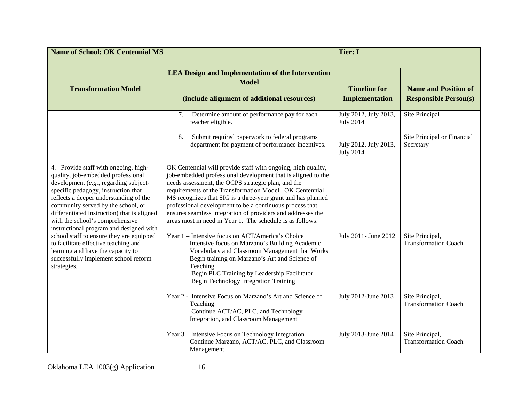| <b>Name of School: OK Centennial MS</b>                                                                                                                                                                                                                                                                                                                                                                                                                                                                                                                 |                                                                                                                                                                                                                                                                                                                                                                                                                                                                                                                                                                                                                                                                                                                                                                                                                      | <b>Tier: I</b>                                                                         |                                                                   |
|---------------------------------------------------------------------------------------------------------------------------------------------------------------------------------------------------------------------------------------------------------------------------------------------------------------------------------------------------------------------------------------------------------------------------------------------------------------------------------------------------------------------------------------------------------|----------------------------------------------------------------------------------------------------------------------------------------------------------------------------------------------------------------------------------------------------------------------------------------------------------------------------------------------------------------------------------------------------------------------------------------------------------------------------------------------------------------------------------------------------------------------------------------------------------------------------------------------------------------------------------------------------------------------------------------------------------------------------------------------------------------------|----------------------------------------------------------------------------------------|-------------------------------------------------------------------|
| <b>Transformation Model</b>                                                                                                                                                                                                                                                                                                                                                                                                                                                                                                                             | <b>LEA Design and Implementation of the Intervention</b><br><b>Model</b><br>(include alignment of additional resources)                                                                                                                                                                                                                                                                                                                                                                                                                                                                                                                                                                                                                                                                                              | <b>Timeline for</b><br><b>Implementation</b>                                           | <b>Name and Position of</b><br><b>Responsible Person(s)</b>       |
|                                                                                                                                                                                                                                                                                                                                                                                                                                                                                                                                                         | Determine amount of performance pay for each<br>7.<br>teacher eligible.<br>Submit required paperwork to federal programs<br>8.<br>department for payment of performance incentives.                                                                                                                                                                                                                                                                                                                                                                                                                                                                                                                                                                                                                                  | July 2012, July 2013,<br><b>July 2014</b><br>July 2012, July 2013,<br><b>July 2014</b> | <b>Site Principal</b><br>Site Principal or Financial<br>Secretary |
| 4. Provide staff with ongoing, high-<br>quality, job-embedded professional<br>development (e.g., regarding subject-<br>specific pedagogy, instruction that<br>reflects a deeper understanding of the<br>community served by the school, or<br>differentiated instruction) that is aligned<br>with the school's comprehensive<br>instructional program and designed with<br>school staff to ensure they are equipped<br>to facilitate effective teaching and<br>learning and have the capacity to<br>successfully implement school reform<br>strategies. | OK Centennial will provide staff with ongoing, high quality,<br>job-embedded professional development that is aligned to the<br>needs assessment, the OCPS strategic plan, and the<br>requirements of the Transformation Model. OK Centennial<br>MS recognizes that SIG is a three-year grant and has planned<br>professional development to be a continuous process that<br>ensures seamless integration of providers and addresses the<br>areas most in need in Year 1. The schedule is as follows:<br>Year 1 – Intensive focus on ACT/America's Choice<br>Intensive focus on Marzano's Building Academic<br>Vocabulary and Classroom Management that Works<br>Begin training on Marzano's Art and Science of<br>Teaching<br>Begin PLC Training by Leadership Facilitator<br>Begin Technology Integration Training | July 2011- June 2012                                                                   | Site Principal,<br><b>Transformation Coach</b>                    |
|                                                                                                                                                                                                                                                                                                                                                                                                                                                                                                                                                         | Year 2 - Intensive Focus on Marzano's Art and Science of<br>Teaching<br>Continue ACT/AC, PLC, and Technology<br>Integration, and Classroom Management                                                                                                                                                                                                                                                                                                                                                                                                                                                                                                                                                                                                                                                                | July 2012-June 2013                                                                    | Site Principal,<br><b>Transformation Coach</b>                    |
|                                                                                                                                                                                                                                                                                                                                                                                                                                                                                                                                                         | Year 3 – Intensive Focus on Technology Integration<br>Continue Marzano, ACT/AC, PLC, and Classroom<br>Management                                                                                                                                                                                                                                                                                                                                                                                                                                                                                                                                                                                                                                                                                                     | July 2013-June 2014                                                                    | Site Principal,<br><b>Transformation Coach</b>                    |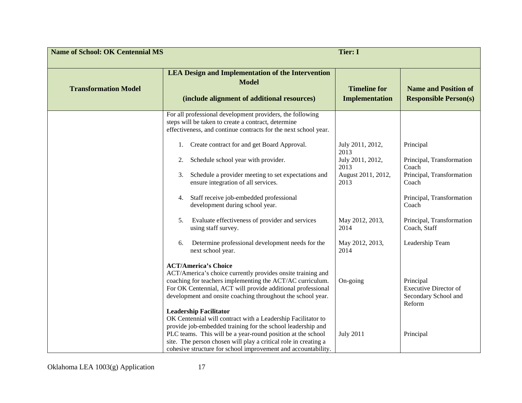| <b>Name of School: OK Centennial MS</b><br><b>Tier: I</b> |                                                                                                                                                                                                                                                                                                                                                                 |                                                                |                                                                             |
|-----------------------------------------------------------|-----------------------------------------------------------------------------------------------------------------------------------------------------------------------------------------------------------------------------------------------------------------------------------------------------------------------------------------------------------------|----------------------------------------------------------------|-----------------------------------------------------------------------------|
| <b>Transformation Model</b>                               | <b>LEA Design and Implementation of the Intervention</b><br><b>Model</b><br>(include alignment of additional resources)                                                                                                                                                                                                                                         | <b>Timeline for</b><br><b>Implementation</b>                   | <b>Name and Position of</b><br><b>Responsible Person(s)</b>                 |
|                                                           | For all professional development providers, the following<br>steps will be taken to create a contract, determine<br>effectiveness, and continue contracts for the next school year.<br>Create contract for and get Board Approval.<br>1.                                                                                                                        | July 2011, 2012,                                               | Principal                                                                   |
|                                                           | Schedule school year with provider.<br>2.<br>Schedule a provider meeting to set expectations and<br>3.<br>ensure integration of all services.                                                                                                                                                                                                                   | 2013<br>July 2011, 2012,<br>2013<br>August 2011, 2012,<br>2013 | Principal, Transformation<br>Coach<br>Principal, Transformation<br>Coach    |
|                                                           | Staff receive job-embedded professional<br>4.<br>development during school year.<br>Evaluate effectiveness of provider and services<br>5.                                                                                                                                                                                                                       | May 2012, 2013,                                                | Principal, Transformation<br>Coach<br>Principal, Transformation             |
|                                                           | using staff survey.<br>Determine professional development needs for the<br>6.<br>next school year.                                                                                                                                                                                                                                                              | 2014<br>May 2012, 2013,<br>2014                                | Coach, Staff<br>Leadership Team                                             |
|                                                           | <b>ACT/America's Choice</b><br>ACT/America's choice currently provides onsite training and<br>coaching for teachers implementing the ACT/AC curriculum.<br>For OK Centennial, ACT will provide additional professional<br>development and onsite coaching throughout the school year.                                                                           | On-going                                                       | Principal<br><b>Executive Director of</b><br>Secondary School and<br>Reform |
|                                                           | <b>Leadership Facilitator</b><br>OK Centennial will contract with a Leadership Facilitator to<br>provide job-embedded training for the school leadership and<br>PLC teams. This will be a year-round position at the school<br>site. The person chosen will play a critical role in creating a<br>cohesive structure for school improvement and accountability. | <b>July 2011</b>                                               | Principal                                                                   |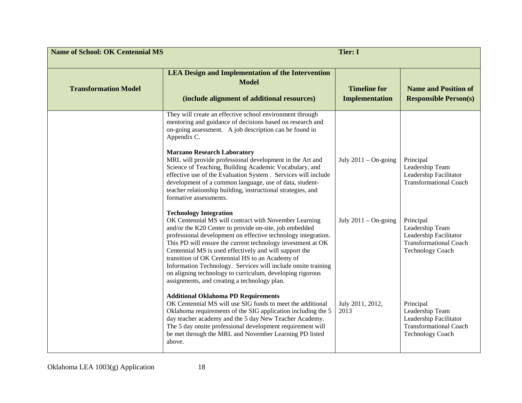| <b>Name of School: OK Centennial MS</b> |                                                                                                                                                                                                                                                                                                                                                                                                                                                                                                                                                                                   | <b>Tier: I</b>                               |                                                                                                                    |
|-----------------------------------------|-----------------------------------------------------------------------------------------------------------------------------------------------------------------------------------------------------------------------------------------------------------------------------------------------------------------------------------------------------------------------------------------------------------------------------------------------------------------------------------------------------------------------------------------------------------------------------------|----------------------------------------------|--------------------------------------------------------------------------------------------------------------------|
| <b>Transformation Model</b>             | <b>LEA Design and Implementation of the Intervention</b><br><b>Model</b><br>(include alignment of additional resources)                                                                                                                                                                                                                                                                                                                                                                                                                                                           | <b>Timeline for</b><br><b>Implementation</b> | <b>Name and Position of</b><br><b>Responsible Person(s)</b>                                                        |
|                                         | They will create an effective school environment through<br>mentoring and guidance of decisions based on research and<br>on-going assessment. A job description can be found in<br>Appendix C.<br><b>Marzano Research Laboratory</b><br>MRL will provide professional development in the Art and<br>Science of Teaching, Building Academic Vocabulary, and<br>effective use of the Evaluation System . Services will include<br>development of a common language, use of data, student-<br>teacher relationship building, instructional strategies, and<br>formative assessments. | July $2011 -$ On-going                       | Principal<br>Leadership Team<br>Leadership Facilitator<br><b>Transformational Coach</b>                            |
|                                         | <b>Technology Integration</b><br>OK Centennial MS will contract with November Learning<br>and/or the K20 Center to provide on-site, job embedded<br>professional development on effective technology integration.<br>This PD will ensure the current technology investment at OK<br>Centennial MS is used effectively and will support the<br>transition of OK Centennial HS to an Academy of<br>Information Technology. Services will include onsite training<br>on aligning technology to curriculum, developing rigorous<br>assignments, and creating a technology plan.       | July $2011 - On$ -going                      | Principal<br>Leadership Team<br>Leadership Facilitator<br><b>Transformational Coach</b><br><b>Technology Coach</b> |
|                                         | <b>Additional Oklahoma PD Requirements</b><br>OK Centennial MS will use SIG funds to meet the additional<br>Oklahoma requirements of the SIG application including the 5<br>day teacher academy and the 5 day New Teacher Academy.<br>The 5 day onsite professional development requirement will<br>be met through the MRL and November Learning PD listed<br>above.                                                                                                                                                                                                              | July 2011, 2012,<br>2013                     | Principal<br>Leadership Team<br>Leadership Facilitator<br><b>Transformational Coach</b><br><b>Technology Coach</b> |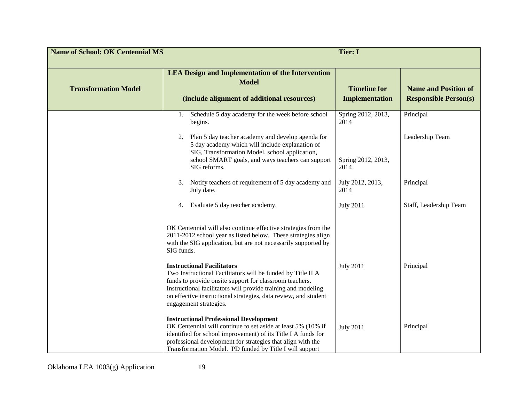| <b>Name of School: OK Centennial MS</b> |                                                                                                                                                                                                                                                                                                                           | <b>Tier: I</b>                               |                                                             |
|-----------------------------------------|---------------------------------------------------------------------------------------------------------------------------------------------------------------------------------------------------------------------------------------------------------------------------------------------------------------------------|----------------------------------------------|-------------------------------------------------------------|
| <b>Transformation Model</b>             | <b>LEA Design and Implementation of the Intervention</b><br><b>Model</b><br>(include alignment of additional resources)                                                                                                                                                                                                   | <b>Timeline for</b><br><b>Implementation</b> | <b>Name and Position of</b><br><b>Responsible Person(s)</b> |
|                                         | Schedule 5 day academy for the week before school<br>1.<br>begins.                                                                                                                                                                                                                                                        | Spring 2012, 2013,<br>2014                   | Principal                                                   |
|                                         | Plan 5 day teacher academy and develop agenda for<br>2.<br>5 day academy which will include explanation of<br>SIG, Transformation Model, school application,<br>school SMART goals, and ways teachers can support<br>SIG reforms.                                                                                         | Spring 2012, 2013,<br>2014                   | Leadership Team                                             |
|                                         | Notify teachers of requirement of 5 day academy and<br>3.<br>July date.                                                                                                                                                                                                                                                   | July 2012, 2013,<br>2014                     | Principal                                                   |
|                                         | Evaluate 5 day teacher academy.<br>4.                                                                                                                                                                                                                                                                                     | <b>July 2011</b>                             | Staff, Leadership Team                                      |
|                                         | OK Centennial will also continue effective strategies from the<br>2011-2012 school year as listed below. These strategies align<br>with the SIG application, but are not necessarily supported by<br>SIG funds.                                                                                                           |                                              |                                                             |
|                                         | <b>Instructional Facilitators</b><br>Two Instructional Facilitators will be funded by Title II A<br>funds to provide onsite support for classroom teachers.<br>Instructional facilitators will provide training and modeling<br>on effective instructional strategies, data review, and student<br>engagement strategies. | <b>July 2011</b>                             | Principal                                                   |
|                                         | <b>Instructional Professional Development</b><br>OK Centennial will continue to set aside at least 5% (10% if<br>identified for school improvement) of its Title I A funds for<br>professional development for strategies that align with the<br>Transformation Model. PD funded by Title I will support                  | <b>July 2011</b>                             | Principal                                                   |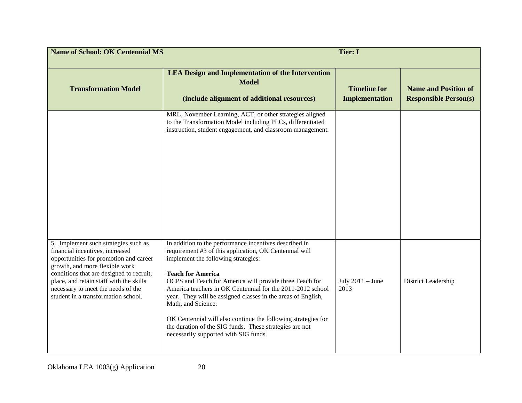| <b>Name of School: OK Centennial MS</b>                                                                                                                                                                                                                                                                                 |                                                                                                                                                                                                                                                                                                                                                                                                                                                                                                                                                                         | <b>Tier: I</b>                               |                                                             |
|-------------------------------------------------------------------------------------------------------------------------------------------------------------------------------------------------------------------------------------------------------------------------------------------------------------------------|-------------------------------------------------------------------------------------------------------------------------------------------------------------------------------------------------------------------------------------------------------------------------------------------------------------------------------------------------------------------------------------------------------------------------------------------------------------------------------------------------------------------------------------------------------------------------|----------------------------------------------|-------------------------------------------------------------|
| <b>Transformation Model</b>                                                                                                                                                                                                                                                                                             | <b>LEA Design and Implementation of the Intervention</b><br><b>Model</b><br>(include alignment of additional resources)                                                                                                                                                                                                                                                                                                                                                                                                                                                 | <b>Timeline for</b><br><b>Implementation</b> | <b>Name and Position of</b><br><b>Responsible Person(s)</b> |
|                                                                                                                                                                                                                                                                                                                         | MRL, November Learning, ACT, or other strategies aligned<br>to the Transformation Model including PLCs, differentiated<br>instruction, student engagement, and classroom management.                                                                                                                                                                                                                                                                                                                                                                                    |                                              |                                                             |
| 5. Implement such strategies such as<br>financial incentives, increased<br>opportunities for promotion and career<br>growth, and more flexible work<br>conditions that are designed to recruit,<br>place, and retain staff with the skills<br>necessary to meet the needs of the<br>student in a transformation school. | In addition to the performance incentives described in<br>requirement #3 of this application, OK Centennial will<br>implement the following strategies:<br><b>Teach for America</b><br>OCPS and Teach for America will provide three Teach for<br>America teachers in OK Centennial for the 2011-2012 school<br>year. They will be assigned classes in the areas of English,<br>Math, and Science.<br>OK Centennial will also continue the following strategies for<br>the duration of the SIG funds. These strategies are not<br>necessarily supported with SIG funds. | July $2011 -$ June<br>2013                   | District Leadership                                         |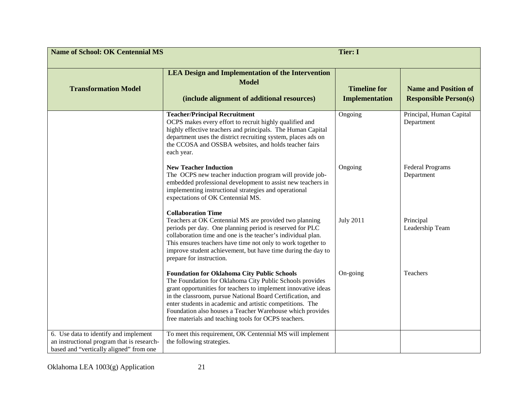| <b>Name of School: OK Centennial MS</b>                                                                                        | <b>Tier: I</b>                                                                                                                                                                                                                                                                                                                                                                                                                   |                                              |                                                             |
|--------------------------------------------------------------------------------------------------------------------------------|----------------------------------------------------------------------------------------------------------------------------------------------------------------------------------------------------------------------------------------------------------------------------------------------------------------------------------------------------------------------------------------------------------------------------------|----------------------------------------------|-------------------------------------------------------------|
| <b>Transformation Model</b>                                                                                                    | <b>LEA Design and Implementation of the Intervention</b><br><b>Model</b><br>(include alignment of additional resources)                                                                                                                                                                                                                                                                                                          | <b>Timeline for</b><br><b>Implementation</b> | <b>Name and Position of</b><br><b>Responsible Person(s)</b> |
|                                                                                                                                | <b>Teacher/Principal Recruitment</b><br>OCPS makes every effort to recruit highly qualified and<br>highly effective teachers and principals. The Human Capital<br>department uses the district recruiting system, places ads on<br>the CCOSA and OSSBA websites, and holds teacher fairs<br>each year.                                                                                                                           | Ongoing                                      | Principal, Human Capital<br>Department                      |
|                                                                                                                                | <b>New Teacher Induction</b><br>The OCPS new teacher induction program will provide job-<br>embedded professional development to assist new teachers in<br>implementing instructional strategies and operational<br>expectations of OK Centennial MS.                                                                                                                                                                            | Ongoing                                      | <b>Federal Programs</b><br>Department                       |
|                                                                                                                                | <b>Collaboration Time</b><br>Teachers at OK Centennial MS are provided two planning<br>periods per day. One planning period is reserved for PLC<br>collaboration time and one is the teacher's individual plan.<br>This ensures teachers have time not only to work together to<br>improve student achievement, but have time during the day to<br>prepare for instruction.                                                      | <b>July 2011</b>                             | Principal<br>Leadership Team                                |
|                                                                                                                                | <b>Foundation for Oklahoma City Public Schools</b><br>The Foundation for Oklahoma City Public Schools provides<br>grant opportunities for teachers to implement innovative ideas<br>in the classroom, pursue National Board Certification, and<br>enter students in academic and artistic competitions. The<br>Foundation also houses a Teacher Warehouse which provides<br>free materials and teaching tools for OCPS teachers. | On-going                                     | Teachers                                                    |
| 6. Use data to identify and implement<br>an instructional program that is research-<br>based and "vertically aligned" from one | To meet this requirement, OK Centennial MS will implement<br>the following strategies.                                                                                                                                                                                                                                                                                                                                           |                                              |                                                             |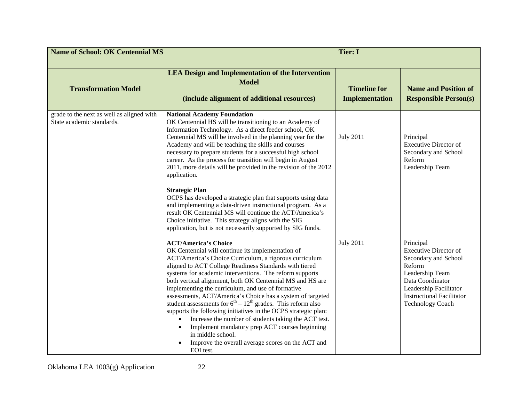| <b>Name of School: OK Centennial MS</b>                                | <b>Tier: I</b>                                                                                                                                                                                                                                                                                                                                                                                                                                                                                                                                                                                                                                                                                                                                                                                                                                                                                                          |                                              |                                                                                                                                                                                                             |
|------------------------------------------------------------------------|-------------------------------------------------------------------------------------------------------------------------------------------------------------------------------------------------------------------------------------------------------------------------------------------------------------------------------------------------------------------------------------------------------------------------------------------------------------------------------------------------------------------------------------------------------------------------------------------------------------------------------------------------------------------------------------------------------------------------------------------------------------------------------------------------------------------------------------------------------------------------------------------------------------------------|----------------------------------------------|-------------------------------------------------------------------------------------------------------------------------------------------------------------------------------------------------------------|
| <b>Transformation Model</b>                                            | <b>LEA Design and Implementation of the Intervention</b><br><b>Model</b><br>(include alignment of additional resources)                                                                                                                                                                                                                                                                                                                                                                                                                                                                                                                                                                                                                                                                                                                                                                                                 | <b>Timeline for</b><br><b>Implementation</b> | <b>Name and Position of</b><br><b>Responsible Person(s)</b>                                                                                                                                                 |
| grade to the next as well as aligned with<br>State academic standards. | <b>National Academy Foundation</b><br>OK Centennial HS will be transitioning to an Academy of<br>Information Technology. As a direct feeder school, OK<br>Centennial MS will be involved in the planning year for the<br>Academy and will be teaching the skills and courses<br>necessary to prepare students for a successful high school<br>career. As the process for transition will begin in August<br>2011, more details will be provided in the revision of the 2012<br>application.<br><b>Strategic Plan</b><br>OCPS has developed a strategic plan that supports using data<br>and implementing a data-driven instructional program. As a<br>result OK Centennial MS will continue the ACT/America's                                                                                                                                                                                                           | <b>July 2011</b>                             | Principal<br><b>Executive Director of</b><br>Secondary and School<br>Reform<br>Leadership Team                                                                                                              |
|                                                                        | Choice initiative. This strategy aligns with the SIG<br>application, but is not necessarily supported by SIG funds.<br><b>ACT/America's Choice</b><br>OK Centennial will continue its implementation of<br>ACT/America's Choice Curriculum, a rigorous curriculum<br>aligned to ACT College Readiness Standards with tiered<br>systems for academic interventions. The reform supports<br>both vertical alignment, both OK Centennial MS and HS are<br>implementing the curriculum, and use of formative<br>assessments, ACT/America's Choice has a system of targeted<br>student assessments for $6th - 12th$ grades. This reform also<br>supports the following initiatives in the OCPS strategic plan:<br>Increase the number of students taking the ACT test.<br>$\bullet$<br>Implement mandatory prep ACT courses beginning<br>in middle school.<br>Improve the overall average scores on the ACT and<br>EOI test. | <b>July 2011</b>                             | Principal<br><b>Executive Director of</b><br>Secondary and School<br>Reform<br>Leadership Team<br>Data Coordinator<br>Leadership Facilitator<br><b>Instructional Facilitator</b><br><b>Technology Coach</b> |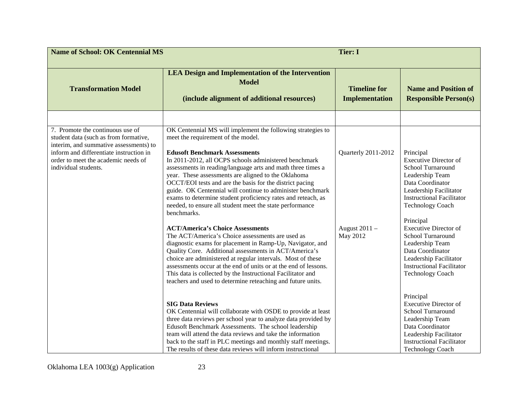| <b>Name of School: OK Centennial MS</b>                                                                                                                                                                                       |                                                                                                                                                                                                                                                                                                                                                                                                                                                                                                                                                                                                                                                                                                                                                                                                                                                                                                                                                                                                                                                                                    | <b>Tier: I</b>                                   |                                                                                                                                                                                                                                                                                                                                                                                                  |
|-------------------------------------------------------------------------------------------------------------------------------------------------------------------------------------------------------------------------------|------------------------------------------------------------------------------------------------------------------------------------------------------------------------------------------------------------------------------------------------------------------------------------------------------------------------------------------------------------------------------------------------------------------------------------------------------------------------------------------------------------------------------------------------------------------------------------------------------------------------------------------------------------------------------------------------------------------------------------------------------------------------------------------------------------------------------------------------------------------------------------------------------------------------------------------------------------------------------------------------------------------------------------------------------------------------------------|--------------------------------------------------|--------------------------------------------------------------------------------------------------------------------------------------------------------------------------------------------------------------------------------------------------------------------------------------------------------------------------------------------------------------------------------------------------|
| <b>Transformation Model</b>                                                                                                                                                                                                   | <b>LEA Design and Implementation of the Intervention</b><br><b>Model</b><br>(include alignment of additional resources)                                                                                                                                                                                                                                                                                                                                                                                                                                                                                                                                                                                                                                                                                                                                                                                                                                                                                                                                                            | <b>Timeline for</b><br><b>Implementation</b>     | <b>Name and Position of</b><br><b>Responsible Person(s)</b>                                                                                                                                                                                                                                                                                                                                      |
|                                                                                                                                                                                                                               |                                                                                                                                                                                                                                                                                                                                                                                                                                                                                                                                                                                                                                                                                                                                                                                                                                                                                                                                                                                                                                                                                    |                                                  |                                                                                                                                                                                                                                                                                                                                                                                                  |
| 7. Promote the continuous use of<br>student data (such as from formative,<br>interim, and summative assessments) to<br>inform and differentiate instruction in<br>order to meet the academic needs of<br>individual students. | OK Centennial MS will implement the following strategies to<br>meet the requirement of the model.<br><b>Edusoft Benchmark Assessments</b><br>In 2011-2012, all OCPS schools administered benchmark<br>assessments in reading/language arts and math three times a<br>year. These assessments are aligned to the Oklahoma<br>OCCT/EOI tests and are the basis for the district pacing<br>guide. OK Centennial will continue to administer benchmark<br>exams to determine student proficiency rates and reteach, as<br>needed, to ensure all student meet the state performance<br>benchmarks.<br><b>ACT/America's Choice Assessments</b><br>The ACT/America's Choice assessments are used as<br>diagnostic exams for placement in Ramp-Up, Navigator, and<br>Quality Core. Additional assessments in ACT/America's<br>choice are administered at regular intervals. Most of these<br>assessments occur at the end of units or at the end of lessons.<br>This data is collected by the Instructional Facilitator and<br>teachers and used to determine reteaching and future units. | Quarterly 2011-2012<br>August 2011 -<br>May 2012 | Principal<br><b>Executive Director of</b><br>School Turnaround<br>Leadership Team<br>Data Coordinator<br>Leadership Facilitator<br><b>Instructional Facilitator</b><br><b>Technology Coach</b><br>Principal<br><b>Executive Director of</b><br>School Turnaround<br>Leadership Team<br>Data Coordinator<br>Leadership Facilitator<br><b>Instructional Facilitator</b><br><b>Technology Coach</b> |
|                                                                                                                                                                                                                               | <b>SIG Data Reviews</b><br>OK Centennial will collaborate with OSDE to provide at least<br>three data reviews per school year to analyze data provided by<br>Edusoft Benchmark Assessments. The school leadership<br>team will attend the data reviews and take the information<br>back to the staff in PLC meetings and monthly staff meetings.<br>The results of these data reviews will inform instructional                                                                                                                                                                                                                                                                                                                                                                                                                                                                                                                                                                                                                                                                    |                                                  | Principal<br><b>Executive Director of</b><br>School Turnaround<br>Leadership Team<br>Data Coordinator<br>Leadership Facilitator<br><b>Instructional Facilitator</b><br><b>Technology Coach</b>                                                                                                                                                                                                   |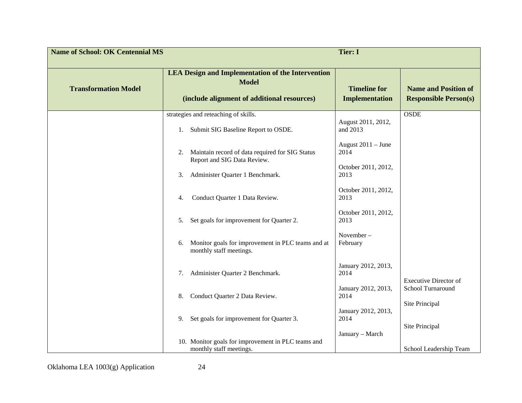| <b>Name of School: OK Centennial MS</b> |                                                                                                                         | <b>Tier: I</b>                               |                                                             |
|-----------------------------------------|-------------------------------------------------------------------------------------------------------------------------|----------------------------------------------|-------------------------------------------------------------|
| <b>Transformation Model</b>             | <b>LEA Design and Implementation of the Intervention</b><br><b>Model</b><br>(include alignment of additional resources) | <b>Timeline for</b><br><b>Implementation</b> | <b>Name and Position of</b><br><b>Responsible Person(s)</b> |
|                                         | strategies and reteaching of skills.<br>Submit SIG Baseline Report to OSDE.<br>1.                                       | August 2011, 2012,<br>and 2013               | <b>OSDE</b>                                                 |
|                                         | Maintain record of data required for SIG Status<br>2.<br>Report and SIG Data Review.                                    | August $2011 -$ June<br>2014                 |                                                             |
|                                         | Administer Quarter 1 Benchmark.<br>3.                                                                                   | October 2011, 2012,<br>2013                  |                                                             |
|                                         | Conduct Quarter 1 Data Review.<br>4.                                                                                    | October 2011, 2012,<br>2013                  |                                                             |
|                                         | Set goals for improvement for Quarter 2.<br>5.                                                                          | October 2011, 2012,<br>2013                  |                                                             |
|                                         | Monitor goals for improvement in PLC teams and at<br>6.<br>monthly staff meetings.                                      | November-<br>February                        |                                                             |
|                                         | Administer Quarter 2 Benchmark.<br>7.                                                                                   | January 2012, 2013,<br>2014                  | <b>Executive Director of</b>                                |
|                                         | Conduct Quarter 2 Data Review.<br>8.                                                                                    | January 2012, 2013,<br>2014                  | School Turnaround<br>Site Principal                         |
|                                         | Set goals for improvement for Quarter 3.<br>9.                                                                          | January 2012, 2013,<br>2014                  | Site Principal                                              |
|                                         | 10. Monitor goals for improvement in PLC teams and<br>monthly staff meetings.                                           | January - March                              | School Leadership Team                                      |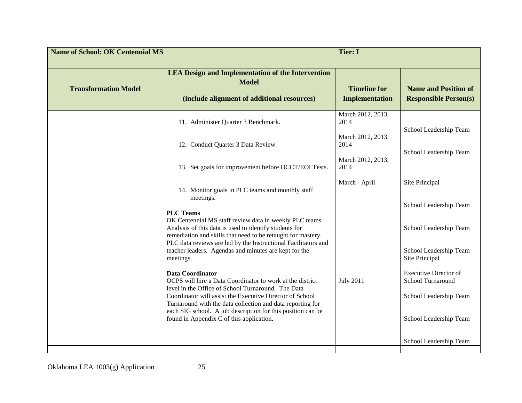| <b>Name of School: OK Centennial MS</b><br><b>Tier: I</b> |                                                                                                                                                                                                                                                                         |                                              |                                                             |
|-----------------------------------------------------------|-------------------------------------------------------------------------------------------------------------------------------------------------------------------------------------------------------------------------------------------------------------------------|----------------------------------------------|-------------------------------------------------------------|
| <b>Transformation Model</b>                               | <b>LEA Design and Implementation of the Intervention</b><br><b>Model</b><br>(include alignment of additional resources)                                                                                                                                                 | <b>Timeline for</b><br><b>Implementation</b> | <b>Name and Position of</b><br><b>Responsible Person(s)</b> |
|                                                           | 11. Administer Quarter 3 Benchmark.                                                                                                                                                                                                                                     | March 2012, 2013,<br>2014                    | School Leadership Team                                      |
|                                                           | 12. Conduct Quarter 3 Data Review.                                                                                                                                                                                                                                      | March 2012, 2013,<br>2014                    | School Leadership Team                                      |
|                                                           | 13. Set goals for improvement before OCCT/EOI Tests.                                                                                                                                                                                                                    | March 2012, 2013,<br>2014                    |                                                             |
|                                                           | 14. Monitor goals in PLC teams and monthly staff<br>meetings.                                                                                                                                                                                                           | March - April                                | Site Principal                                              |
|                                                           | <b>PLC Teams</b><br>OK Centennial MS staff review data in weekly PLC teams.<br>Analysis of this data is used to identify students for<br>remediation and skills that need to be retaught for mastery.<br>PLC data reviews are led by the Instructional Facilitators and |                                              | School Leadership Team<br>School Leadership Team            |
|                                                           | teacher leaders. Agendas and minutes are kept for the<br>meetings.                                                                                                                                                                                                      |                                              | School Leadership Team<br>Site Principal                    |
|                                                           | <b>Data Coordinator</b><br>OCPS will hire a Data Coordinator to work at the district<br>level in the Office of School Turnaround. The Data                                                                                                                              | <b>July 2011</b>                             | <b>Executive Director of</b><br>School Turnaround           |
|                                                           | Coordinator will assist the Executive Director of School<br>Turnaround with the data collection and data reporting for<br>each SIG school. A job description for this position can be                                                                                   |                                              | School Leadership Team                                      |
|                                                           | found in Appendix C of this application.                                                                                                                                                                                                                                |                                              | School Leadership Team                                      |
|                                                           |                                                                                                                                                                                                                                                                         |                                              | School Leadership Team                                      |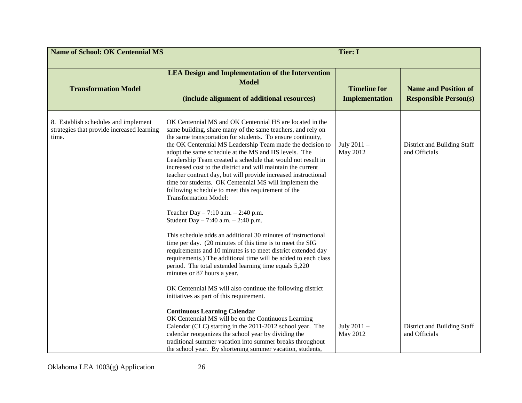| <b>Name of School: OK Centennial MS</b><br><b>Tier: I</b>                                   |                                                                                                                                                                                                                                                                                                                                                                                                                                                                                                                                                                                                                                                                                                                                                                                                                                                                                                                                                                                                                                                                                                                                                                     |                                              |                                                             |
|---------------------------------------------------------------------------------------------|---------------------------------------------------------------------------------------------------------------------------------------------------------------------------------------------------------------------------------------------------------------------------------------------------------------------------------------------------------------------------------------------------------------------------------------------------------------------------------------------------------------------------------------------------------------------------------------------------------------------------------------------------------------------------------------------------------------------------------------------------------------------------------------------------------------------------------------------------------------------------------------------------------------------------------------------------------------------------------------------------------------------------------------------------------------------------------------------------------------------------------------------------------------------|----------------------------------------------|-------------------------------------------------------------|
| <b>Transformation Model</b>                                                                 | <b>LEA Design and Implementation of the Intervention</b><br><b>Model</b><br>(include alignment of additional resources)                                                                                                                                                                                                                                                                                                                                                                                                                                                                                                                                                                                                                                                                                                                                                                                                                                                                                                                                                                                                                                             | <b>Timeline for</b><br><b>Implementation</b> | <b>Name and Position of</b><br><b>Responsible Person(s)</b> |
| 8. Establish schedules and implement<br>strategies that provide increased learning<br>time. | OK Centennial MS and OK Centennial HS are located in the<br>same building, share many of the same teachers, and rely on<br>the same transportation for students. To ensure continuity,<br>the OK Centennial MS Leadership Team made the decision to<br>adopt the same schedule at the MS and HS levels. The<br>Leadership Team created a schedule that would not result in<br>increased cost to the district and will maintain the current<br>teacher contract day, but will provide increased instructional<br>time for students. OK Centennial MS will implement the<br>following schedule to meet this requirement of the<br><b>Transformation Model:</b><br>Teacher Day $-7:10$ a.m. $-2:40$ p.m.<br>Student Day $-7:40$ a.m. $-2:40$ p.m.<br>This schedule adds an additional 30 minutes of instructional<br>time per day. (20 minutes of this time is to meet the SIG<br>requirements and 10 minutes is to meet district extended day<br>requirements.) The additional time will be added to each class<br>period. The total extended learning time equals 5,220<br>minutes or 87 hours a year.<br>OK Centennial MS will also continue the following district | July 2011 -<br>May 2012                      | District and Building Staff<br>and Officials                |
|                                                                                             | initiatives as part of this requirement.<br><b>Continuous Learning Calendar</b><br>OK Centennial MS will be on the Continuous Learning<br>Calendar (CLC) starting in the 2011-2012 school year. The<br>calendar reorganizes the school year by dividing the<br>traditional summer vacation into summer breaks throughout<br>the school year. By shortening summer vacation, students,                                                                                                                                                                                                                                                                                                                                                                                                                                                                                                                                                                                                                                                                                                                                                                               | July 2011 -<br>May 2012                      | District and Building Staff<br>and Officials                |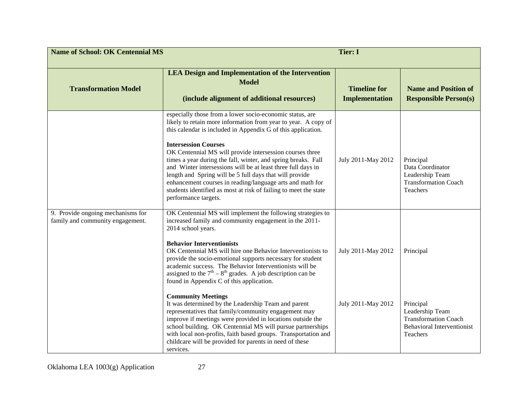| <b>Name of School: OK Centennial MS</b><br><b>Tier: I</b>             |                                                                                                                                                                                                                                                                                                                                                                                                                                                                                                                                                                                                                                            |                                              |                                                                                                              |
|-----------------------------------------------------------------------|--------------------------------------------------------------------------------------------------------------------------------------------------------------------------------------------------------------------------------------------------------------------------------------------------------------------------------------------------------------------------------------------------------------------------------------------------------------------------------------------------------------------------------------------------------------------------------------------------------------------------------------------|----------------------------------------------|--------------------------------------------------------------------------------------------------------------|
| <b>Transformation Model</b>                                           | <b>LEA Design and Implementation of the Intervention</b><br><b>Model</b><br>(include alignment of additional resources)                                                                                                                                                                                                                                                                                                                                                                                                                                                                                                                    | <b>Timeline for</b><br><b>Implementation</b> | <b>Name and Position of</b><br><b>Responsible Person(s)</b>                                                  |
|                                                                       | especially those from a lower socio-economic status, are<br>likely to retain more information from year to year. A copy of<br>this calendar is included in Appendix G of this application.<br><b>Intersession Courses</b><br>OK Centennial MS will provide intersession courses three<br>times a year during the fall, winter, and spring breaks. Fall<br>and Winter intersessions will be at least three full days in<br>length and Spring will be 5 full days that will provide<br>enhancement courses in reading/language arts and math for<br>students identified as most at risk of failing to meet the state<br>performance targets. | July 2011-May 2012                           | Principal<br>Data Coordinator<br>Leadership Team<br><b>Transformation Coach</b><br>Teachers                  |
| 9. Provide ongoing mechanisms for<br>family and community engagement. | OK Centennial MS will implement the following strategies to<br>increased family and community engagement in the 2011-<br>2014 school years.<br><b>Behavior Interventionists</b><br>OK Centennial MS will hire one Behavior Interventionists to<br>provide the socio-emotional supports necessary for student<br>academic success. The Behavior Interventionists will be<br>assigned to the $7th - 8th$ grades. A job description can be<br>found in Appendix C of this application.                                                                                                                                                        | July 2011-May 2012                           | Principal                                                                                                    |
|                                                                       | <b>Community Meetings</b><br>It was determined by the Leadership Team and parent<br>representatives that family/community engagement may<br>improve if meetings were provided in locations outside the<br>school building. OK Centennial MS will pursue partnerships<br>with local non-profits, faith based groups. Transportation and<br>childcare will be provided for parents in need of these<br>services.                                                                                                                                                                                                                             | July 2011-May 2012                           | Principal<br>Leadership Team<br><b>Transformation Coach</b><br><b>Behavioral Interventionist</b><br>Teachers |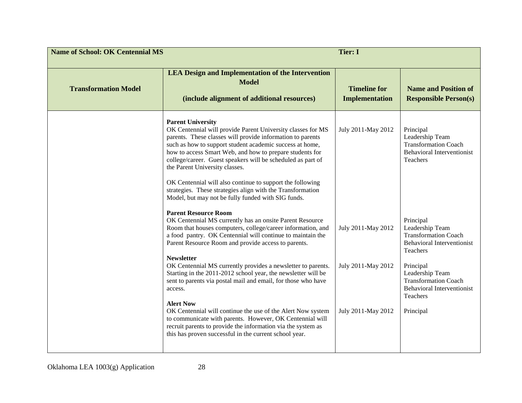| <b>Name of School: OK Centennial MS</b><br><b>Tier: I</b> |                                                                                                                                                                                                                                                                                                                                                                                                                                                                                                                                                                                                                                                                                                                                                                                        |                                                                |                                                                                                                                                                                                                                           |
|-----------------------------------------------------------|----------------------------------------------------------------------------------------------------------------------------------------------------------------------------------------------------------------------------------------------------------------------------------------------------------------------------------------------------------------------------------------------------------------------------------------------------------------------------------------------------------------------------------------------------------------------------------------------------------------------------------------------------------------------------------------------------------------------------------------------------------------------------------------|----------------------------------------------------------------|-------------------------------------------------------------------------------------------------------------------------------------------------------------------------------------------------------------------------------------------|
| <b>Transformation Model</b>                               | <b>LEA Design and Implementation of the Intervention</b><br><b>Model</b><br>(include alignment of additional resources)                                                                                                                                                                                                                                                                                                                                                                                                                                                                                                                                                                                                                                                                | <b>Timeline for</b><br><b>Implementation</b>                   | <b>Name and Position of</b><br><b>Responsible Person(s)</b>                                                                                                                                                                               |
|                                                           | <b>Parent University</b><br>OK Centennial will provide Parent University classes for MS<br>parents. These classes will provide information to parents<br>such as how to support student academic success at home,<br>how to access Smart Web, and how to prepare students for<br>college/career. Guest speakers will be scheduled as part of<br>the Parent University classes.<br>OK Centennial will also continue to support the following<br>strategies. These strategies align with the Transformation<br>Model, but may not be fully funded with SIG funds.                                                                                                                                                                                                                        | July 2011-May 2012                                             | Principal<br>Leadership Team<br><b>Transformation Coach</b><br><b>Behavioral Interventionist</b><br>Teachers                                                                                                                              |
|                                                           | <b>Parent Resource Room</b><br>OK Centennial MS currently has an onsite Parent Resource<br>Room that houses computers, college/career information, and<br>a food pantry. OK Centennial will continue to maintain the<br>Parent Resource Room and provide access to parents.<br><b>Newsletter</b><br>OK Centennial MS currently provides a newsletter to parents.<br>Starting in the 2011-2012 school year, the newsletter will be<br>sent to parents via postal mail and email, for those who have<br>access.<br><b>Alert Now</b><br>OK Centennial will continue the use of the Alert Now system<br>to communicate with parents. However, OK Centennial will<br>recruit parents to provide the information via the system as<br>this has proven successful in the current school year. | July 2011-May 2012<br>July 2011-May 2012<br>July 2011-May 2012 | Principal<br>Leadership Team<br><b>Transformation Coach</b><br><b>Behavioral Interventionist</b><br>Teachers<br>Principal<br>Leadership Team<br><b>Transformation Coach</b><br><b>Behavioral Interventionist</b><br>Teachers<br>Principal |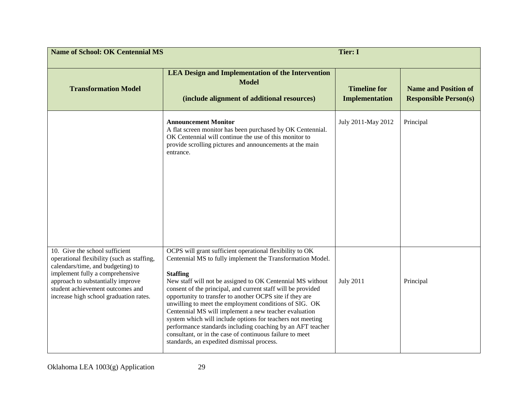| <b>Name of School: OK Centennial MS</b>                                                                                                                                                                                                                                 |                                                                                                                                                                                                                                                                                                                                                                                                                                                                                                                                                                                                                                                                                              | <b>Tier: I</b>                               |                                                             |
|-------------------------------------------------------------------------------------------------------------------------------------------------------------------------------------------------------------------------------------------------------------------------|----------------------------------------------------------------------------------------------------------------------------------------------------------------------------------------------------------------------------------------------------------------------------------------------------------------------------------------------------------------------------------------------------------------------------------------------------------------------------------------------------------------------------------------------------------------------------------------------------------------------------------------------------------------------------------------------|----------------------------------------------|-------------------------------------------------------------|
| <b>Transformation Model</b>                                                                                                                                                                                                                                             | <b>LEA Design and Implementation of the Intervention</b><br><b>Model</b><br>(include alignment of additional resources)                                                                                                                                                                                                                                                                                                                                                                                                                                                                                                                                                                      | <b>Timeline for</b><br><b>Implementation</b> | <b>Name and Position of</b><br><b>Responsible Person(s)</b> |
|                                                                                                                                                                                                                                                                         | <b>Announcement Monitor</b><br>A flat screen monitor has been purchased by OK Centennial.<br>OK Centennial will continue the use of this monitor to<br>provide scrolling pictures and announcements at the main<br>entrance.                                                                                                                                                                                                                                                                                                                                                                                                                                                                 | July 2011-May 2012                           | Principal                                                   |
| 10. Give the school sufficient<br>operational flexibility (such as staffing,<br>calendars/time, and budgeting) to<br>implement fully a comprehensive<br>approach to substantially improve<br>student achievement outcomes and<br>increase high school graduation rates. | OCPS will grant sufficient operational flexibility to OK<br>Centennial MS to fully implement the Transformation Model.<br><b>Staffing</b><br>New staff will not be assigned to OK Centennial MS without<br>consent of the principal, and current staff will be provided<br>opportunity to transfer to another OCPS site if they are<br>unwilling to meet the employment conditions of SIG. OK<br>Centennial MS will implement a new teacher evaluation<br>system which will include options for teachers not meeting<br>performance standards including coaching by an AFT teacher<br>consultant, or in the case of continuous failure to meet<br>standards, an expedited dismissal process. | <b>July 2011</b>                             | Principal                                                   |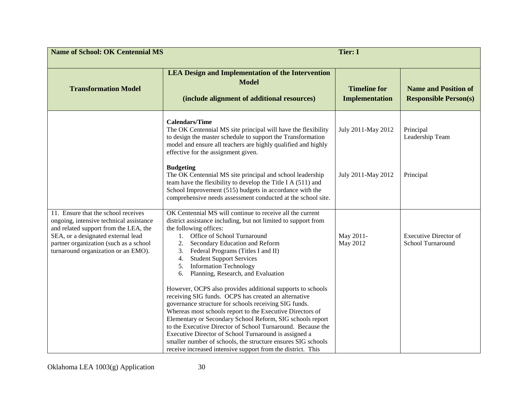| <b>Name of School: OK Centennial MS</b><br><b>Tier: I</b>                                                                                                                                                                                      |                                                                                                                                                                                                                                                                                                                                                                                                                                                                                                                                                                                                                                                                                                                                                                                                                                                                                                                                                                                      |                                              |                                                             |
|------------------------------------------------------------------------------------------------------------------------------------------------------------------------------------------------------------------------------------------------|--------------------------------------------------------------------------------------------------------------------------------------------------------------------------------------------------------------------------------------------------------------------------------------------------------------------------------------------------------------------------------------------------------------------------------------------------------------------------------------------------------------------------------------------------------------------------------------------------------------------------------------------------------------------------------------------------------------------------------------------------------------------------------------------------------------------------------------------------------------------------------------------------------------------------------------------------------------------------------------|----------------------------------------------|-------------------------------------------------------------|
| <b>Transformation Model</b>                                                                                                                                                                                                                    | <b>LEA Design and Implementation of the Intervention</b><br><b>Model</b><br>(include alignment of additional resources)                                                                                                                                                                                                                                                                                                                                                                                                                                                                                                                                                                                                                                                                                                                                                                                                                                                              | <b>Timeline for</b><br><b>Implementation</b> | <b>Name and Position of</b><br><b>Responsible Person(s)</b> |
|                                                                                                                                                                                                                                                | <b>Calendars/Time</b><br>The OK Centennial MS site principal will have the flexibility<br>to design the master schedule to support the Transformation<br>model and ensure all teachers are highly qualified and highly<br>effective for the assignment given.                                                                                                                                                                                                                                                                                                                                                                                                                                                                                                                                                                                                                                                                                                                        | July 2011-May 2012                           | Principal<br>Leadership Team                                |
|                                                                                                                                                                                                                                                | <b>Budgeting</b><br>The OK Centennial MS site principal and school leadership<br>team have the flexibility to develop the Title I A (511) and<br>School Improvement (515) budgets in accordance with the<br>comprehensive needs assessment conducted at the school site.                                                                                                                                                                                                                                                                                                                                                                                                                                                                                                                                                                                                                                                                                                             | July 2011-May 2012                           | Principal                                                   |
| 11. Ensure that the school receives<br>ongoing, intensive technical assistance<br>and related support from the LEA, the<br>SEA, or a designated external lead<br>partner organization (such as a school<br>turnaround organization or an EMO). | OK Centennial MS will continue to receive all the current<br>district assistance including, but not limited to support from<br>the following offices:<br>Office of School Turnaround<br>$1_{\cdots}$<br>Secondary Education and Reform<br>2.<br>Federal Programs (Titles I and II)<br>3.<br><b>Student Support Services</b><br>4.<br><b>Information Technology</b><br>5.<br>Planning, Research, and Evaluation<br>6.<br>However, OCPS also provides additional supports to schools<br>receiving SIG funds. OCPS has created an alternative<br>governance structure for schools receiving SIG funds.<br>Whereas most schools report to the Executive Directors of<br>Elementary or Secondary School Reform, SIG schools report<br>to the Executive Director of School Turnaround. Because the<br>Executive Director of School Turnaround is assigned a<br>smaller number of schools, the structure ensures SIG schools<br>receive increased intensive support from the district. This | May 2011-<br>May 2012                        | <b>Executive Director of</b><br>School Turnaround           |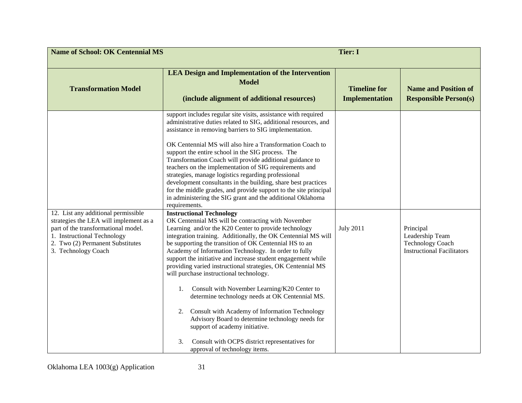| <b>Name of School: OK Centennial MS</b><br><b>Tier: I</b>                                                                                                                                                      |                                                                                                                                                                                                                                                                                                                                                                                                                                                                                                                                                                                                                                                                                                                                                                                                                                                            |                                              |                                                                                              |
|----------------------------------------------------------------------------------------------------------------------------------------------------------------------------------------------------------------|------------------------------------------------------------------------------------------------------------------------------------------------------------------------------------------------------------------------------------------------------------------------------------------------------------------------------------------------------------------------------------------------------------------------------------------------------------------------------------------------------------------------------------------------------------------------------------------------------------------------------------------------------------------------------------------------------------------------------------------------------------------------------------------------------------------------------------------------------------|----------------------------------------------|----------------------------------------------------------------------------------------------|
| <b>Transformation Model</b>                                                                                                                                                                                    | <b>LEA Design and Implementation of the Intervention</b><br><b>Model</b><br>(include alignment of additional resources)                                                                                                                                                                                                                                                                                                                                                                                                                                                                                                                                                                                                                                                                                                                                    | <b>Timeline for</b><br><b>Implementation</b> | <b>Name and Position of</b><br><b>Responsible Person(s)</b>                                  |
|                                                                                                                                                                                                                | support includes regular site visits, assistance with required<br>administrative duties related to SIG, additional resources, and<br>assistance in removing barriers to SIG implementation.<br>OK Centennial MS will also hire a Transformation Coach to<br>support the entire school in the SIG process. The<br>Transformation Coach will provide additional guidance to<br>teachers on the implementation of SIG requirements and<br>strategies, manage logistics regarding professional<br>development consultants in the building, share best practices<br>for the middle grades, and provide support to the site principal<br>in administering the SIG grant and the additional Oklahoma<br>requirements.                                                                                                                                             |                                              |                                                                                              |
| 12. List any additional permissible<br>strategies the LEA will implement as a<br>part of the transformational model.<br>1. Instructional Technology<br>2. Two (2) Permanent Substitutes<br>3. Technology Coach | <b>Instructional Technology</b><br>OK Centennial MS will be contracting with November<br>Learning and/or the K20 Center to provide technology<br>integration training. Additionally, the OK Centennial MS will<br>be supporting the transition of OK Centennial HS to an<br>Academy of Information Technology. In order to fully<br>support the initiative and increase student engagement while<br>providing varied instructional strategies, OK Centennial MS<br>will purchase instructional technology.<br>Consult with November Learning/K20 Center to<br>1.<br>determine technology needs at OK Centennial MS.<br>Consult with Academy of Information Technology<br>2.<br>Advisory Board to determine technology needs for<br>support of academy initiative.<br>Consult with OCPS district representatives for<br>3.<br>approval of technology items. | <b>July 2011</b>                             | Principal<br>Leadership Team<br><b>Technology Coach</b><br><b>Instructional Facilitators</b> |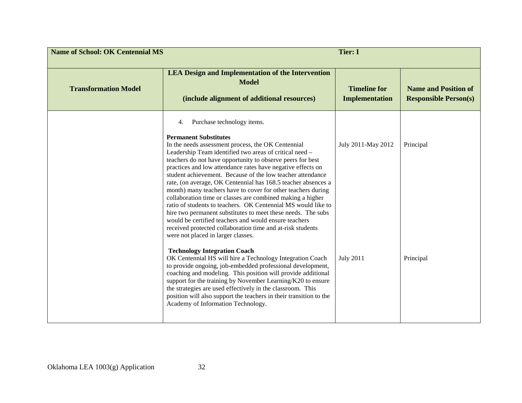| <b>Name of School: OK Centennial MS</b><br><b>Tier: I</b> |                                                                                                                                                                                                                                                                                                                                                                                                                                                                                                                                                                                                                                                                                                                                                                                                                                                                                                                                                                                                                                                                                                                                                                                                                                                                                                                                                      |                                              |                                                             |
|-----------------------------------------------------------|------------------------------------------------------------------------------------------------------------------------------------------------------------------------------------------------------------------------------------------------------------------------------------------------------------------------------------------------------------------------------------------------------------------------------------------------------------------------------------------------------------------------------------------------------------------------------------------------------------------------------------------------------------------------------------------------------------------------------------------------------------------------------------------------------------------------------------------------------------------------------------------------------------------------------------------------------------------------------------------------------------------------------------------------------------------------------------------------------------------------------------------------------------------------------------------------------------------------------------------------------------------------------------------------------------------------------------------------------|----------------------------------------------|-------------------------------------------------------------|
| <b>Transformation Model</b>                               | <b>LEA Design and Implementation of the Intervention</b><br><b>Model</b><br>(include alignment of additional resources)                                                                                                                                                                                                                                                                                                                                                                                                                                                                                                                                                                                                                                                                                                                                                                                                                                                                                                                                                                                                                                                                                                                                                                                                                              | <b>Timeline for</b><br><b>Implementation</b> | <b>Name and Position of</b><br><b>Responsible Person(s)</b> |
|                                                           | Purchase technology items.<br>4.<br><b>Permanent Substitutes</b><br>In the needs assessment process, the OK Centennial<br>Leadership Team identified two areas of critical need -<br>teachers do not have opportunity to observe peers for best<br>practices and low attendance rates have negative effects on<br>student achievement. Because of the low teacher attendance<br>rate, (on average, OK Centennial has 168.5 teacher absences a<br>month) many teachers have to cover for other teachers during<br>collaboration time or classes are combined making a higher<br>ratio of students to teachers. OK Centennial MS would like to<br>hire two permanent substitutes to meet these needs. The subs<br>would be certified teachers and would ensure teachers<br>received protected collaboration time and at-risk students<br>were not placed in larger classes.<br><b>Technology Integration Coach</b><br>OK Centennial HS will hire a Technology Integration Coach<br>to provide ongoing, job-embedded professional development,<br>coaching and modeling. This position will provide additional<br>support for the training by November Learning/K20 to ensure<br>the strategies are used effectively in the classroom. This<br>position will also support the teachers in their transition to the<br>Academy of Information Technology. | July 2011-May 2012<br><b>July 2011</b>       | Principal<br>Principal                                      |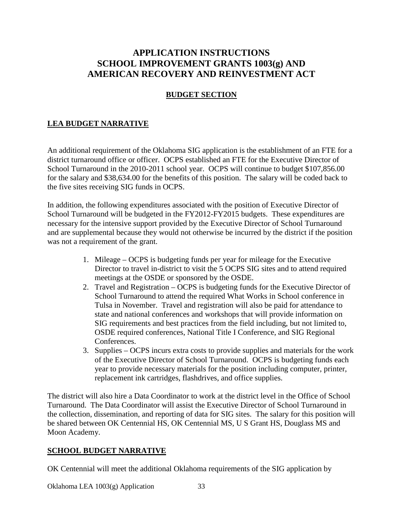# **APPLICATION INSTRUCTIONS SCHOOL IMPROVEMENT GRANTS 1003(g) AND AMERICAN RECOVERY AND REINVESTMENT ACT**

## **BUDGET SECTION**

# **LEA BUDGET NARRATIVE**

An additional requirement of the Oklahoma SIG application is the establishment of an FTE for a district turnaround office or officer. OCPS established an FTE for the Executive Director of School Turnaround in the 2010-2011 school year. OCPS will continue to budget \$107,856.00 for the salary and \$38,634.00 for the benefits of this position. The salary will be coded back to the five sites receiving SIG funds in OCPS.

In addition, the following expenditures associated with the position of Executive Director of School Turnaround will be budgeted in the FY2012-FY2015 budgets. These expenditures are necessary for the intensive support provided by the Executive Director of School Turnaround and are supplemental because they would not otherwise be incurred by the district if the position was not a requirement of the grant.

- 1. Mileage OCPS is budgeting funds per year for mileage for the Executive Director to travel in-district to visit the 5 OCPS SIG sites and to attend required meetings at the OSDE or sponsored by the OSDE.
- 2. Travel and Registration OCPS is budgeting funds for the Executive Director of School Turnaround to attend the required What Works in School conference in Tulsa in November. Travel and registration will also be paid for attendance to state and national conferences and workshops that will provide information on SIG requirements and best practices from the field including, but not limited to, OSDE required conferences, National Title I Conference, and SIG Regional Conferences.
- 3. Supplies OCPS incurs extra costs to provide supplies and materials for the work of the Executive Director of School Turnaround. OCPS is budgeting funds each year to provide necessary materials for the position including computer, printer, replacement ink cartridges, flashdrives, and office supplies.

The district will also hire a Data Coordinator to work at the district level in the Office of School Turnaround. The Data Coordinator will assist the Executive Director of School Turnaround in the collection, dissemination, and reporting of data for SIG sites. The salary for this position will be shared between OK Centennial HS, OK Centennial MS, U S Grant HS, Douglass MS and Moon Academy.

## **SCHOOL BUDGET NARRATIVE**

OK Centennial will meet the additional Oklahoma requirements of the SIG application by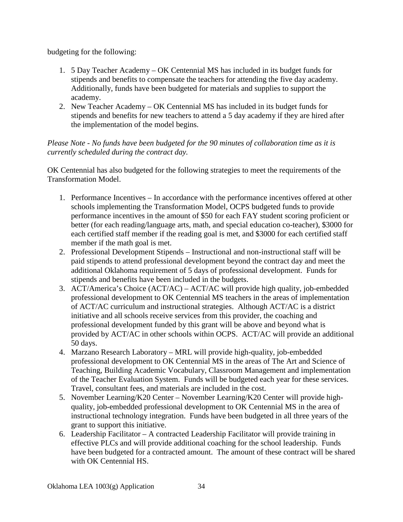budgeting for the following:

- 1. 5 Day Teacher Academy OK Centennial MS has included in its budget funds for stipends and benefits to compensate the teachers for attending the five day academy. Additionally, funds have been budgeted for materials and supplies to support the academy.
- 2. New Teacher Academy OK Centennial MS has included in its budget funds for stipends and benefits for new teachers to attend a 5 day academy if they are hired after the implementation of the model begins.

*Please Note - No funds have been budgeted for the 90 minutes of collaboration time as it is currently scheduled during the contract day.*

OK Centennial has also budgeted for the following strategies to meet the requirements of the Transformation Model.

- 1. Performance Incentives In accordance with the performance incentives offered at other schools implementing the Transformation Model, OCPS budgeted funds to provide performance incentives in the amount of \$50 for each FAY student scoring proficient or better (for each reading/language arts, math, and special education co-teacher), \$3000 for each certified staff member if the reading goal is met, and \$3000 for each certified staff member if the math goal is met.
- 2. Professional Development Stipends Instructional and non-instructional staff will be paid stipends to attend professional development beyond the contract day and meet the additional Oklahoma requirement of 5 days of professional development. Funds for stipends and benefits have been included in the budgets.
- 3. ACT/America's Choice (ACT/AC) ACT/AC will provide high quality, job-embedded professional development to OK Centennial MS teachers in the areas of implementation of ACT/AC curriculum and instructional strategies. Although ACT/AC is a district initiative and all schools receive services from this provider, the coaching and professional development funded by this grant will be above and beyond what is provided by ACT/AC in other schools within OCPS. ACT/AC will provide an additional 50 days.
- 4. Marzano Research Laboratory MRL will provide high-quality, job-embedded professional development to OK Centennial MS in the areas of The Art and Science of Teaching, Building Academic Vocabulary, Classroom Management and implementation of the Teacher Evaluation System. Funds will be budgeted each year for these services. Travel, consultant fees, and materials are included in the cost.
- 5. November Learning/K20 Center November Learning/K20 Center will provide highquality, job-embedded professional development to OK Centennial MS in the area of instructional technology integration. Funds have been budgeted in all three years of the grant to support this initiative.
- 6. Leadership Facilitator A contracted Leadership Facilitator will provide training in effective PLCs and will provide additional coaching for the school leadership. Funds have been budgeted for a contracted amount. The amount of these contract will be shared with OK Centennial HS.